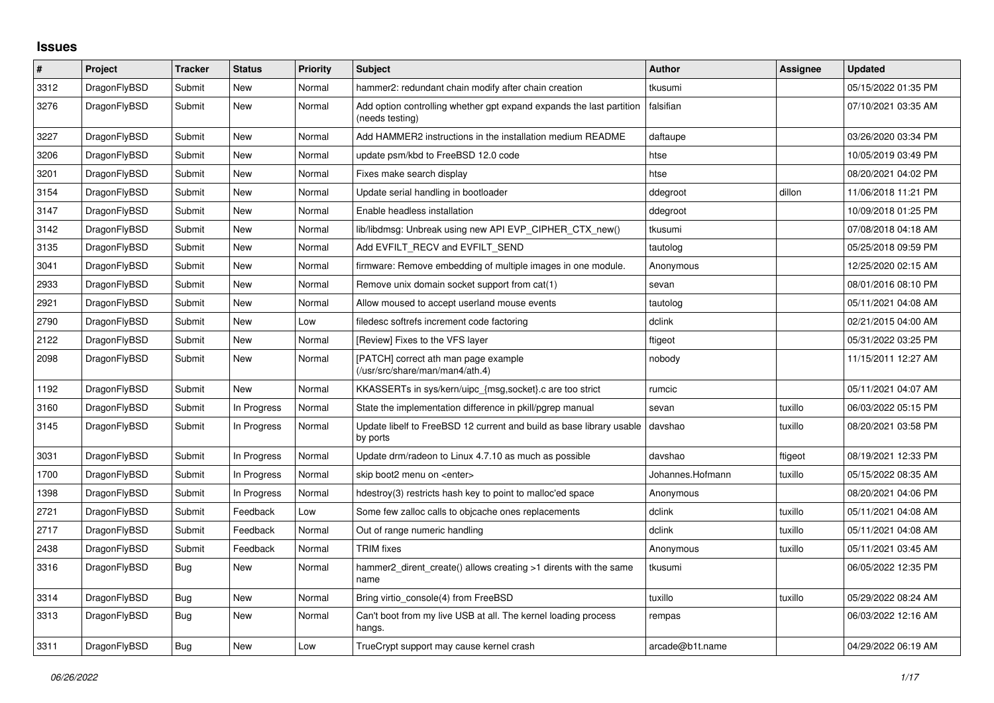## **Issues**

| ∦    | Project      | <b>Tracker</b> | <b>Status</b> | <b>Priority</b> | <b>Subject</b>                                                                          | <b>Author</b>    | Assignee | <b>Updated</b>      |
|------|--------------|----------------|---------------|-----------------|-----------------------------------------------------------------------------------------|------------------|----------|---------------------|
| 3312 | DragonFlyBSD | Submit         | <b>New</b>    | Normal          | hammer2: redundant chain modify after chain creation                                    | tkusumi          |          | 05/15/2022 01:35 PM |
| 3276 | DragonFlyBSD | Submit         | <b>New</b>    | Normal          | Add option controlling whether gpt expand expands the last partition<br>(needs testing) | falsifian        |          | 07/10/2021 03:35 AM |
| 3227 | DragonFlyBSD | Submit         | <b>New</b>    | Normal          | Add HAMMER2 instructions in the installation medium README                              | daftaupe         |          | 03/26/2020 03:34 PM |
| 3206 | DragonFlyBSD | Submit         | New           | Normal          | update psm/kbd to FreeBSD 12.0 code                                                     | htse             |          | 10/05/2019 03:49 PM |
| 3201 | DragonFlyBSD | Submit         | <b>New</b>    | Normal          | Fixes make search display                                                               | htse             |          | 08/20/2021 04:02 PM |
| 3154 | DragonFlyBSD | Submit         | <b>New</b>    | Normal          | Update serial handling in bootloader                                                    | ddegroot         | dillon   | 11/06/2018 11:21 PM |
| 3147 | DragonFlyBSD | Submit         | New           | Normal          | Enable headless installation                                                            | ddegroot         |          | 10/09/2018 01:25 PM |
| 3142 | DragonFlyBSD | Submit         | <b>New</b>    | Normal          | lib/libdmsg: Unbreak using new API EVP CIPHER CTX new()                                 | tkusumi          |          | 07/08/2018 04:18 AM |
| 3135 | DragonFlyBSD | Submit         | <b>New</b>    | Normal          | Add EVFILT RECV and EVFILT SEND                                                         | tautolog         |          | 05/25/2018 09:59 PM |
| 3041 | DragonFlyBSD | Submit         | New           | Normal          | firmware: Remove embedding of multiple images in one module.                            | Anonymous        |          | 12/25/2020 02:15 AM |
| 2933 | DragonFlyBSD | Submit         | <b>New</b>    | Normal          | Remove unix domain socket support from cat(1)                                           | sevan            |          | 08/01/2016 08:10 PM |
| 2921 | DragonFlyBSD | Submit         | <b>New</b>    | Normal          | Allow moused to accept userland mouse events                                            | tautolog         |          | 05/11/2021 04:08 AM |
| 2790 | DragonFlyBSD | Submit         | <b>New</b>    | Low             | filedesc softrefs increment code factoring                                              | dclink           |          | 02/21/2015 04:00 AM |
| 2122 | DragonFlyBSD | Submit         | New           | Normal          | [Review] Fixes to the VFS layer                                                         | ftigeot          |          | 05/31/2022 03:25 PM |
| 2098 | DragonFlyBSD | Submit         | <b>New</b>    | Normal          | [PATCH] correct ath man page example<br>(/usr/src/share/man/man4/ath.4)                 | nobody           |          | 11/15/2011 12:27 AM |
| 1192 | DragonFlyBSD | Submit         | <b>New</b>    | Normal          | KKASSERTs in sys/kern/uipc {msg,socket}.c are too strict                                | rumcic           |          | 05/11/2021 04:07 AM |
| 3160 | DragonFlyBSD | Submit         | In Progress   | Normal          | State the implementation difference in pkill/pgrep manual                               | sevan            | tuxillo  | 06/03/2022 05:15 PM |
| 3145 | DragonFlyBSD | Submit         | In Progress   | Normal          | Update libelf to FreeBSD 12 current and build as base library usable<br>by ports        | davshao          | tuxillo  | 08/20/2021 03:58 PM |
| 3031 | DragonFlyBSD | Submit         | In Progress   | Normal          | Update drm/radeon to Linux 4.7.10 as much as possible                                   | davshao          | ftigeot  | 08/19/2021 12:33 PM |
| 1700 | DragonFlyBSD | Submit         | In Progress   | Normal          | skip boot2 menu on <enter></enter>                                                      | Johannes.Hofmann | tuxillo  | 05/15/2022 08:35 AM |
| 1398 | DragonFlyBSD | Submit         | In Progress   | Normal          | hdestroy(3) restricts hash key to point to malloc'ed space                              | Anonymous        |          | 08/20/2021 04:06 PM |
| 2721 | DragonFlyBSD | Submit         | Feedback      | Low             | Some few zalloc calls to objcache ones replacements                                     | dclink           | tuxillo  | 05/11/2021 04:08 AM |
| 2717 | DragonFlyBSD | Submit         | Feedback      | Normal          | Out of range numeric handling                                                           | dclink           | tuxillo  | 05/11/2021 04:08 AM |
| 2438 | DragonFlyBSD | Submit         | Feedback      | Normal          | <b>TRIM</b> fixes                                                                       | Anonymous        | tuxillo  | 05/11/2021 03:45 AM |
| 3316 | DragonFlyBSD | Bug            | <b>New</b>    | Normal          | hammer2 dirent create() allows creating >1 dirents with the same<br>name                | tkusumi          |          | 06/05/2022 12:35 PM |
| 3314 | DragonFlyBSD | <b>Bug</b>     | <b>New</b>    | Normal          | Bring virtio console(4) from FreeBSD                                                    | tuxillo          | tuxillo  | 05/29/2022 08:24 AM |
| 3313 | DragonFlyBSD | <b>Bug</b>     | <b>New</b>    | Normal          | Can't boot from my live USB at all. The kernel loading process<br>hangs.                | rempas           |          | 06/03/2022 12:16 AM |
| 3311 | DragonFlyBSD | Bug            | <b>New</b>    | Low             | TrueCrypt support may cause kernel crash                                                | arcade@b1t.name  |          | 04/29/2022 06:19 AM |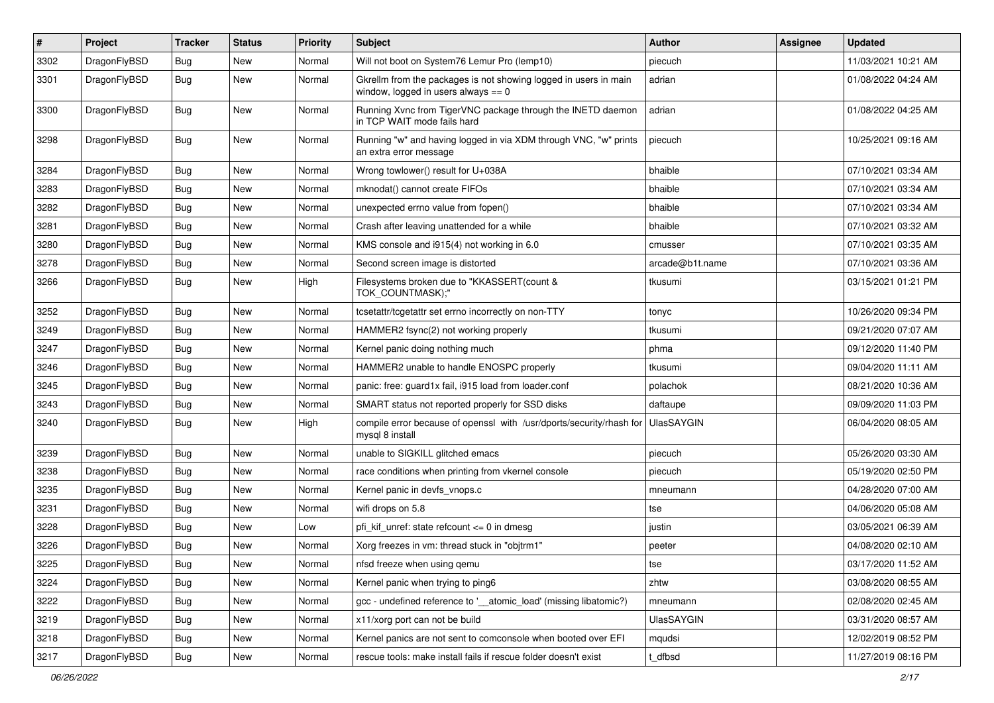| $\pmb{\#}$ | Project      | <b>Tracker</b> | <b>Status</b> | <b>Priority</b> | Subject                                                                                                   | Author            | <b>Assignee</b> | <b>Updated</b>      |
|------------|--------------|----------------|---------------|-----------------|-----------------------------------------------------------------------------------------------------------|-------------------|-----------------|---------------------|
| 3302       | DragonFlyBSD | Bug            | New           | Normal          | Will not boot on System76 Lemur Pro (lemp10)                                                              | piecuch           |                 | 11/03/2021 10:21 AM |
| 3301       | DragonFlyBSD | Bug            | New           | Normal          | Gkrellm from the packages is not showing logged in users in main<br>window, logged in users always $== 0$ | adrian            |                 | 01/08/2022 04:24 AM |
| 3300       | DragonFlyBSD | Bug            | New           | Normal          | Running Xvnc from TigerVNC package through the INETD daemon<br>in TCP WAIT mode fails hard                | adrian            |                 | 01/08/2022 04:25 AM |
| 3298       | DragonFlyBSD | Bug            | <b>New</b>    | Normal          | Running "w" and having logged in via XDM through VNC, "w" prints<br>an extra error message                | piecuch           |                 | 10/25/2021 09:16 AM |
| 3284       | DragonFlyBSD | <b>Bug</b>     | <b>New</b>    | Normal          | Wrong towlower() result for U+038A                                                                        | bhaible           |                 | 07/10/2021 03:34 AM |
| 3283       | DragonFlyBSD | Bug            | <b>New</b>    | Normal          | mknodat() cannot create FIFOs                                                                             | bhaible           |                 | 07/10/2021 03:34 AM |
| 3282       | DragonFlyBSD | Bug            | <b>New</b>    | Normal          | unexpected errno value from fopen()                                                                       | bhaible           |                 | 07/10/2021 03:34 AM |
| 3281       | DragonFlyBSD | Bug            | New           | Normal          | Crash after leaving unattended for a while                                                                | bhaible           |                 | 07/10/2021 03:32 AM |
| 3280       | DragonFlyBSD | Bug            | New           | Normal          | KMS console and i915(4) not working in 6.0                                                                | cmusser           |                 | 07/10/2021 03:35 AM |
| 3278       | DragonFlyBSD | Bug            | <b>New</b>    | Normal          | Second screen image is distorted                                                                          | arcade@b1t.name   |                 | 07/10/2021 03:36 AM |
| 3266       | DragonFlyBSD | Bug            | New           | High            | Filesystems broken due to "KKASSERT(count &<br>TOK_COUNTMASK);"                                           | tkusumi           |                 | 03/15/2021 01:21 PM |
| 3252       | DragonFlyBSD | <b>Bug</b>     | <b>New</b>    | Normal          | tcsetattr/tcgetattr set errno incorrectly on non-TTY                                                      | tonyc             |                 | 10/26/2020 09:34 PM |
| 3249       | DragonFlyBSD | Bug            | New           | Normal          | HAMMER2 fsync(2) not working properly                                                                     | tkusumi           |                 | 09/21/2020 07:07 AM |
| 3247       | DragonFlyBSD | Bug            | New           | Normal          | Kernel panic doing nothing much                                                                           | phma              |                 | 09/12/2020 11:40 PM |
| 3246       | DragonFlyBSD | Bug            | New           | Normal          | HAMMER2 unable to handle ENOSPC properly                                                                  | tkusumi           |                 | 09/04/2020 11:11 AM |
| 3245       | DragonFlyBSD | Bug            | New           | Normal          | panic: free: guard1x fail, i915 load from loader.conf                                                     | polachok          |                 | 08/21/2020 10:36 AM |
| 3243       | DragonFlyBSD | Bug            | <b>New</b>    | Normal          | SMART status not reported properly for SSD disks                                                          | daftaupe          |                 | 09/09/2020 11:03 PM |
| 3240       | DragonFlyBSD | Bug            | New           | High            | compile error because of openssl with /usr/dports/security/rhash for<br>mysql 8 install                   | <b>UlasSAYGIN</b> |                 | 06/04/2020 08:05 AM |
| 3239       | DragonFlyBSD | <b>Bug</b>     | <b>New</b>    | Normal          | unable to SIGKILL glitched emacs                                                                          | piecuch           |                 | 05/26/2020 03:30 AM |
| 3238       | DragonFlyBSD | Bug            | <b>New</b>    | Normal          | race conditions when printing from vkernel console                                                        | piecuch           |                 | 05/19/2020 02:50 PM |
| 3235       | DragonFlyBSD | Bug            | <b>New</b>    | Normal          | Kernel panic in devfs_vnops.c                                                                             | mneumann          |                 | 04/28/2020 07:00 AM |
| 3231       | DragonFlyBSD | Bug            | New           | Normal          | wifi drops on 5.8                                                                                         | tse               |                 | 04/06/2020 05:08 AM |
| 3228       | DragonFlyBSD | Bug            | New           | Low             | pfi kif unref: state refcount $\leq$ 0 in dmesg                                                           | justin            |                 | 03/05/2021 06:39 AM |
| 3226       | DragonFlyBSD | Bug            | New           | Normal          | Xorg freezes in vm: thread stuck in "objtrm1"                                                             | peeter            |                 | 04/08/2020 02:10 AM |
| 3225       | DragonFlyBSD | <b>Bug</b>     | New           | Normal          | nfsd freeze when using qemu                                                                               | tse               |                 | 03/17/2020 11:52 AM |
| 3224       | DragonFlyBSD | Bug            | <b>New</b>    | Normal          | Kernel panic when trying to ping6                                                                         | zhtw              |                 | 03/08/2020 08:55 AM |
| 3222       | DragonFlyBSD | <b>Bug</b>     | New           | Normal          | gcc - undefined reference to '__atomic_load' (missing libatomic?)                                         | mneumann          |                 | 02/08/2020 02:45 AM |
| 3219       | DragonFlyBSD | Bug            | New           | Normal          | x11/xorg port can not be build                                                                            | <b>UlasSAYGIN</b> |                 | 03/31/2020 08:57 AM |
| 3218       | DragonFlyBSD | <b>Bug</b>     | New           | Normal          | Kernel panics are not sent to comconsole when booted over EFI                                             | mqudsi            |                 | 12/02/2019 08:52 PM |
| 3217       | DragonFlyBSD | Bug            | New           | Normal          | rescue tools: make install fails if rescue folder doesn't exist                                           | t_dfbsd           |                 | 11/27/2019 08:16 PM |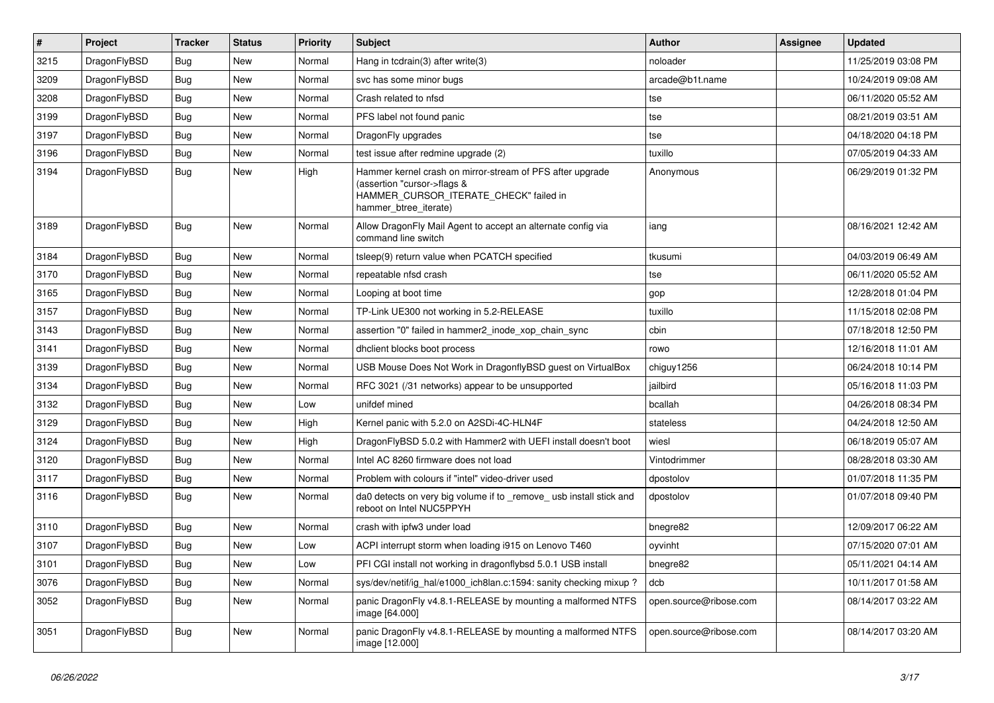| #    | Project      | <b>Tracker</b> | <b>Status</b> | <b>Priority</b> | <b>Subject</b>                                                                                                                                              | Author                 | Assignee | <b>Updated</b>      |
|------|--------------|----------------|---------------|-----------------|-------------------------------------------------------------------------------------------------------------------------------------------------------------|------------------------|----------|---------------------|
| 3215 | DragonFlyBSD | Bug            | <b>New</b>    | Normal          | Hang in tcdrain(3) after write(3)                                                                                                                           | noloader               |          | 11/25/2019 03:08 PM |
| 3209 | DragonFlyBSD | <b>Bug</b>     | <b>New</b>    | Normal          | svc has some minor bugs                                                                                                                                     | arcade@b1t.name        |          | 10/24/2019 09:08 AM |
| 3208 | DragonFlyBSD | <b>Bug</b>     | <b>New</b>    | Normal          | Crash related to nfsd                                                                                                                                       | tse                    |          | 06/11/2020 05:52 AM |
| 3199 | DragonFlyBSD | Bug            | <b>New</b>    | Normal          | PFS label not found panic                                                                                                                                   | tse                    |          | 08/21/2019 03:51 AM |
| 3197 | DragonFlyBSD | <b>Bug</b>     | <b>New</b>    | Normal          | DragonFly upgrades                                                                                                                                          | tse                    |          | 04/18/2020 04:18 PM |
| 3196 | DragonFlyBSD | <b>Bug</b>     | <b>New</b>    | Normal          | test issue after redmine upgrade (2)                                                                                                                        | tuxillo                |          | 07/05/2019 04:33 AM |
| 3194 | DragonFlyBSD | Bug            | <b>New</b>    | High            | Hammer kernel crash on mirror-stream of PFS after upgrade<br>(assertion "cursor->flags &<br>HAMMER_CURSOR_ITERATE_CHECK" failed in<br>hammer_btree_iterate) | Anonymous              |          | 06/29/2019 01:32 PM |
| 3189 | DragonFlyBSD | <b>Bug</b>     | <b>New</b>    | Normal          | Allow DragonFly Mail Agent to accept an alternate config via<br>command line switch                                                                         | iang                   |          | 08/16/2021 12:42 AM |
| 3184 | DragonFlyBSD | Bug            | <b>New</b>    | Normal          | tsleep(9) return value when PCATCH specified                                                                                                                | tkusumi                |          | 04/03/2019 06:49 AM |
| 3170 | DragonFlyBSD | Bug            | <b>New</b>    | Normal          | repeatable nfsd crash                                                                                                                                       | tse                    |          | 06/11/2020 05:52 AM |
| 3165 | DragonFlyBSD | Bug            | <b>New</b>    | Normal          | Looping at boot time                                                                                                                                        | gop                    |          | 12/28/2018 01:04 PM |
| 3157 | DragonFlyBSD | <b>Bug</b>     | <b>New</b>    | Normal          | TP-Link UE300 not working in 5.2-RELEASE                                                                                                                    | tuxillo                |          | 11/15/2018 02:08 PM |
| 3143 | DragonFlyBSD | Bug            | <b>New</b>    | Normal          | assertion "0" failed in hammer2 inode xop chain sync                                                                                                        | cbin                   |          | 07/18/2018 12:50 PM |
| 3141 | DragonFlyBSD | <b>Bug</b>     | <b>New</b>    | Normal          | dhclient blocks boot process                                                                                                                                | rowo                   |          | 12/16/2018 11:01 AM |
| 3139 | DragonFlyBSD | <b>Bug</b>     | <b>New</b>    | Normal          | USB Mouse Does Not Work in DragonflyBSD guest on VirtualBox                                                                                                 | chiguy1256             |          | 06/24/2018 10:14 PM |
| 3134 | DragonFlyBSD | Bug            | <b>New</b>    | Normal          | RFC 3021 (/31 networks) appear to be unsupported                                                                                                            | jailbird               |          | 05/16/2018 11:03 PM |
| 3132 | DragonFlyBSD | <b>Bug</b>     | <b>New</b>    | Low             | unifdef mined                                                                                                                                               | bcallah                |          | 04/26/2018 08:34 PM |
| 3129 | DragonFlyBSD | <b>Bug</b>     | <b>New</b>    | High            | Kernel panic with 5.2.0 on A2SDi-4C-HLN4F                                                                                                                   | stateless              |          | 04/24/2018 12:50 AM |
| 3124 | DragonFlyBSD | Bug            | <b>New</b>    | High            | DragonFlyBSD 5.0.2 with Hammer2 with UEFI install doesn't boot                                                                                              | wiesl                  |          | 06/18/2019 05:07 AM |
| 3120 | DragonFlyBSD | <b>Bug</b>     | <b>New</b>    | Normal          | Intel AC 8260 firmware does not load                                                                                                                        | Vintodrimmer           |          | 08/28/2018 03:30 AM |
| 3117 | DragonFlyBSD | Bug            | <b>New</b>    | Normal          | Problem with colours if "intel" video-driver used                                                                                                           | dpostolov              |          | 01/07/2018 11:35 PM |
| 3116 | DragonFlyBSD | Bug            | <b>New</b>    | Normal          | da0 detects on very big volume if to _remove_ usb install stick and<br>reboot on Intel NUC5PPYH                                                             | dpostolov              |          | 01/07/2018 09:40 PM |
| 3110 | DragonFlyBSD | Bug            | <b>New</b>    | Normal          | crash with ipfw3 under load                                                                                                                                 | bnegre82               |          | 12/09/2017 06:22 AM |
| 3107 | DragonFlyBSD | <b>Bug</b>     | <b>New</b>    | Low             | ACPI interrupt storm when loading i915 on Lenovo T460                                                                                                       | oyvinht                |          | 07/15/2020 07:01 AM |
| 3101 | DragonFlyBSD | <b>Bug</b>     | New           | Low             | PFI CGI install not working in dragonflybsd 5.0.1 USB install                                                                                               | bnegre82               |          | 05/11/2021 04:14 AM |
| 3076 | DragonFlyBSD | Bug            | <b>New</b>    | Normal          | sys/dev/netif/ig hal/e1000 ich8lan.c:1594: sanity checking mixup?                                                                                           | dcb                    |          | 10/11/2017 01:58 AM |
| 3052 | DragonFlyBSD | <b>Bug</b>     | New           | Normal          | panic DragonFly v4.8.1-RELEASE by mounting a malformed NTFS<br>image [64.000]                                                                               | open.source@ribose.com |          | 08/14/2017 03:22 AM |
| 3051 | DragonFlyBSD | <b>Bug</b>     | New           | Normal          | panic DragonFly v4.8.1-RELEASE by mounting a malformed NTFS<br>image [12.000]                                                                               | open.source@ribose.com |          | 08/14/2017 03:20 AM |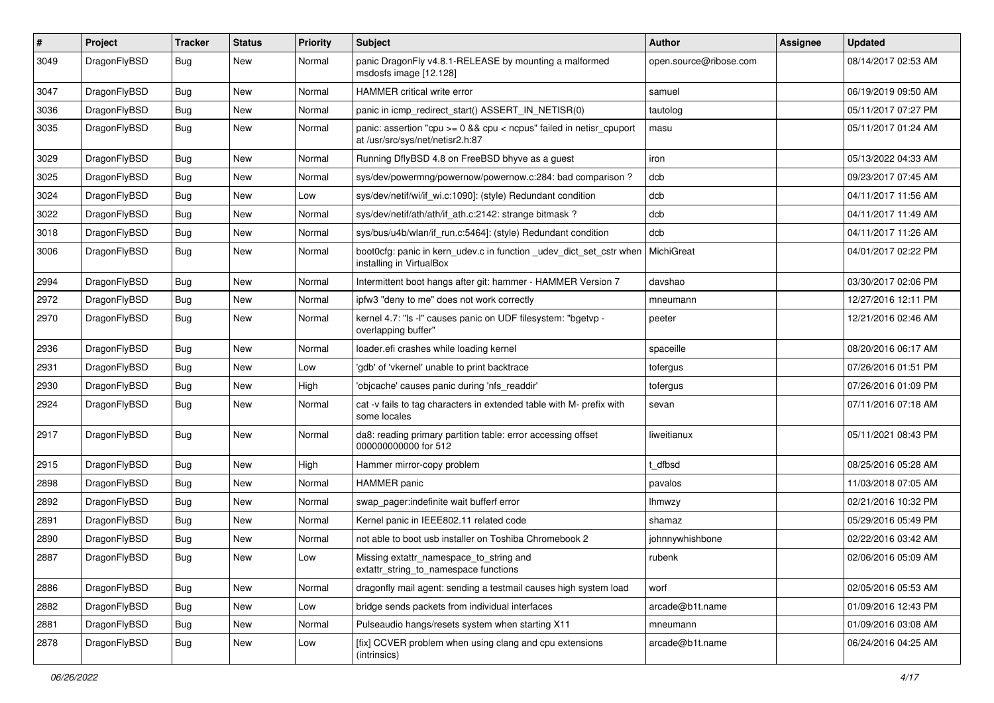| #    | Project      | <b>Tracker</b> | <b>Status</b> | <b>Priority</b> | Subject                                                                                                 | <b>Author</b>          | <b>Assignee</b> | <b>Updated</b>      |
|------|--------------|----------------|---------------|-----------------|---------------------------------------------------------------------------------------------------------|------------------------|-----------------|---------------------|
| 3049 | DragonFlyBSD | Bug            | New           | Normal          | panic DragonFly v4.8.1-RELEASE by mounting a malformed<br>msdosfs image [12.128]                        | open.source@ribose.com |                 | 08/14/2017 02:53 AM |
| 3047 | DragonFlyBSD | <b>Bug</b>     | <b>New</b>    | Normal          | <b>HAMMER critical write error</b>                                                                      | samuel                 |                 | 06/19/2019 09:50 AM |
| 3036 | DragonFlyBSD | <b>Bug</b>     | New           | Normal          | panic in icmp_redirect_start() ASSERT_IN_NETISR(0)                                                      | tautolog               |                 | 05/11/2017 07:27 PM |
| 3035 | DragonFlyBSD | Bug            | New           | Normal          | panic: assertion "cpu >= 0 && cpu < ncpus" failed in netisr_cpuport<br>at /usr/src/sys/net/netisr2.h:87 | masu                   |                 | 05/11/2017 01:24 AM |
| 3029 | DragonFlyBSD | Bug            | <b>New</b>    | Normal          | Running DflyBSD 4.8 on FreeBSD bhyve as a guest                                                         | iron                   |                 | 05/13/2022 04:33 AM |
| 3025 | DragonFlyBSD | <b>Bug</b>     | New           | Normal          | sys/dev/powermng/powernow/powernow.c:284: bad comparison?                                               | dcb                    |                 | 09/23/2017 07:45 AM |
| 3024 | DragonFlyBSD | <b>Bug</b>     | New           | Low             | sys/dev/netif/wi/if_wi.c:1090]: (style) Redundant condition                                             | dcb                    |                 | 04/11/2017 11:56 AM |
| 3022 | DragonFlyBSD | <b>Bug</b>     | <b>New</b>    | Normal          | sys/dev/netif/ath/ath/if_ath.c:2142: strange bitmask?                                                   | dcb                    |                 | 04/11/2017 11:49 AM |
| 3018 | DragonFlyBSD | <b>Bug</b>     | New           | Normal          | sys/bus/u4b/wlan/if run.c:5464]: (style) Redundant condition                                            | dcb                    |                 | 04/11/2017 11:26 AM |
| 3006 | DragonFlyBSD | <b>Bug</b>     | <b>New</b>    | Normal          | boot Ocfg: panic in kern udev.c in function udev dict set cstr when<br>installing in VirtualBox         | MichiGreat             |                 | 04/01/2017 02:22 PM |
| 2994 | DragonFlyBSD | <b>Bug</b>     | <b>New</b>    | Normal          | Intermittent boot hangs after git: hammer - HAMMER Version 7                                            | davshao                |                 | 03/30/2017 02:06 PM |
| 2972 | DragonFlyBSD | <b>Bug</b>     | New           | Normal          | ipfw3 "deny to me" does not work correctly                                                              | mneumann               |                 | 12/27/2016 12:11 PM |
| 2970 | DragonFlyBSD | <b>Bug</b>     | <b>New</b>    | Normal          | kernel 4.7: "Is -I" causes panic on UDF filesystem: "bgetvp -<br>overlapping buffer"                    | peeter                 |                 | 12/21/2016 02:46 AM |
| 2936 | DragonFlyBSD | <b>Bug</b>     | <b>New</b>    | Normal          | loader.efi crashes while loading kernel                                                                 | spaceille              |                 | 08/20/2016 06:17 AM |
| 2931 | DragonFlyBSD | <b>Bug</b>     | New           | Low             | 'gdb' of 'vkernel' unable to print backtrace                                                            | tofergus               |                 | 07/26/2016 01:51 PM |
| 2930 | DragonFlyBSD | <b>Bug</b>     | New           | High            | 'objcache' causes panic during 'nfs_readdir'                                                            | tofergus               |                 | 07/26/2016 01:09 PM |
| 2924 | DragonFlyBSD | <b>Bug</b>     | <b>New</b>    | Normal          | cat -v fails to tag characters in extended table with M- prefix with<br>some locales                    | sevan                  |                 | 07/11/2016 07:18 AM |
| 2917 | DragonFlyBSD | <b>Bug</b>     | New           | Normal          | da8: reading primary partition table: error accessing offset<br>000000000000 for 512                    | liweitianux            |                 | 05/11/2021 08:43 PM |
| 2915 | DragonFlyBSD | <b>Bug</b>     | <b>New</b>    | High            | Hammer mirror-copy problem                                                                              | dfbsd                  |                 | 08/25/2016 05:28 AM |
| 2898 | DragonFlyBSD | <b>Bug</b>     | <b>New</b>    | Normal          | <b>HAMMER</b> panic                                                                                     | pavalos                |                 | 11/03/2018 07:05 AM |
| 2892 | DragonFlyBSD | <b>Bug</b>     | New           | Normal          | swap pager:indefinite wait bufferf error                                                                | lhmwzy                 |                 | 02/21/2016 10:32 PM |
| 2891 | DragonFlyBSD | <b>Bug</b>     | <b>New</b>    | Normal          | Kernel panic in IEEE802.11 related code                                                                 | shamaz                 |                 | 05/29/2016 05:49 PM |
| 2890 | DragonFlyBSD | <b>Bug</b>     | New           | Normal          | not able to boot usb installer on Toshiba Chromebook 2                                                  | johnnywhishbone        |                 | 02/22/2016 03:42 AM |
| 2887 | DragonFlyBSD | Bug            | <b>New</b>    | Low             | Missing extattr namespace to string and<br>extattr_string_to_namespace functions                        | rubenk                 |                 | 02/06/2016 05:09 AM |
| 2886 | DragonFlyBSD | <b>Bug</b>     | New           | Normal          | dragonfly mail agent: sending a testmail causes high system load                                        | worf                   |                 | 02/05/2016 05:53 AM |
| 2882 | DragonFlyBSD | <b>Bug</b>     | <b>New</b>    | Low             | bridge sends packets from individual interfaces                                                         | arcade@b1t.name        |                 | 01/09/2016 12:43 PM |
| 2881 | DragonFlyBSD | <b>Bug</b>     | <b>New</b>    | Normal          | Pulseaudio hangs/resets system when starting X11                                                        | mneumann               |                 | 01/09/2016 03:08 AM |
| 2878 | DragonFlyBSD | Bug            | New           | Low             | [fix] CCVER problem when using clang and cpu extensions<br>(intrinsics)                                 | arcade@b1t.name        |                 | 06/24/2016 04:25 AM |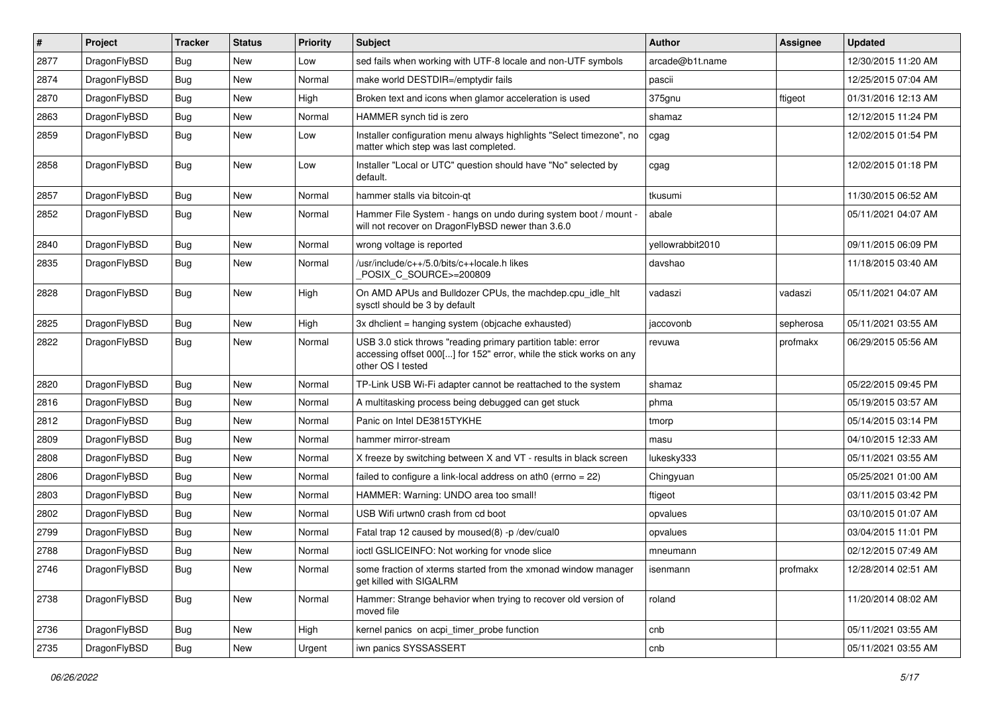| $\#$ | Project      | <b>Tracker</b> | <b>Status</b> | <b>Priority</b> | <b>Subject</b>                                                                                                                                           | <b>Author</b>    | Assignee  | <b>Updated</b>      |
|------|--------------|----------------|---------------|-----------------|----------------------------------------------------------------------------------------------------------------------------------------------------------|------------------|-----------|---------------------|
| 2877 | DragonFlyBSD | <b>Bug</b>     | New           | Low             | sed fails when working with UTF-8 locale and non-UTF symbols                                                                                             | arcade@b1t.name  |           | 12/30/2015 11:20 AM |
| 2874 | DragonFlyBSD | <b>Bug</b>     | <b>New</b>    | Normal          | make world DESTDIR=/emptydir fails                                                                                                                       | pascii           |           | 12/25/2015 07:04 AM |
| 2870 | DragonFlyBSD | <b>Bug</b>     | New           | High            | Broken text and icons when glamor acceleration is used                                                                                                   | 375gnu           | ftigeot   | 01/31/2016 12:13 AM |
| 2863 | DragonFlyBSD | Bug            | New           | Normal          | HAMMER synch tid is zero                                                                                                                                 | shamaz           |           | 12/12/2015 11:24 PM |
| 2859 | DragonFlyBSD | <b>Bug</b>     | New           | Low             | Installer configuration menu always highlights "Select timezone", no<br>matter which step was last completed.                                            | cgag             |           | 12/02/2015 01:54 PM |
| 2858 | DragonFlyBSD | Bug            | <b>New</b>    | Low             | Installer "Local or UTC" question should have "No" selected by<br>default.                                                                               | cgag             |           | 12/02/2015 01:18 PM |
| 2857 | DragonFlyBSD | Bug            | <b>New</b>    | Normal          | hammer stalls via bitcoin-qt                                                                                                                             | tkusumi          |           | 11/30/2015 06:52 AM |
| 2852 | DragonFlyBSD | <b>Bug</b>     | New           | Normal          | Hammer File System - hangs on undo during system boot / mount -<br>will not recover on DragonFlyBSD newer than 3.6.0                                     | abale            |           | 05/11/2021 04:07 AM |
| 2840 | DragonFlyBSD | <b>Bug</b>     | New           | Normal          | wrong voltage is reported                                                                                                                                | yellowrabbit2010 |           | 09/11/2015 06:09 PM |
| 2835 | DragonFlyBSD | <b>Bug</b>     | New           | Normal          | /usr/include/c++/5.0/bits/c++locale.h likes<br>POSIX_C_SOURCE>=200809                                                                                    | davshao          |           | 11/18/2015 03:40 AM |
| 2828 | DragonFlyBSD | <b>Bug</b>     | New           | High            | On AMD APUs and Bulldozer CPUs, the machdep.cpu idle hlt<br>sysctl should be 3 by default                                                                | vadaszi          | vadaszi   | 05/11/2021 04:07 AM |
| 2825 | DragonFlyBSD | <b>Bug</b>     | New           | High            | 3x dhclient = hanging system (objcache exhausted)                                                                                                        | jaccovonb        | sepherosa | 05/11/2021 03:55 AM |
| 2822 | DragonFlyBSD | Bug            | <b>New</b>    | Normal          | USB 3.0 stick throws "reading primary partition table: error<br>accessing offset 000[] for 152" error, while the stick works on any<br>other OS I tested | revuwa           | profmakx  | 06/29/2015 05:56 AM |
| 2820 | DragonFlyBSD | Bug            | <b>New</b>    | Normal          | TP-Link USB Wi-Fi adapter cannot be reattached to the system                                                                                             | shamaz           |           | 05/22/2015 09:45 PM |
| 2816 | DragonFlyBSD | <b>Bug</b>     | New           | Normal          | A multitasking process being debugged can get stuck                                                                                                      | phma             |           | 05/19/2015 03:57 AM |
| 2812 | DragonFlyBSD | <b>Bug</b>     | New           | Normal          | Panic on Intel DE3815TYKHE                                                                                                                               | tmorp            |           | 05/14/2015 03:14 PM |
| 2809 | DragonFlyBSD | <b>Bug</b>     | New           | Normal          | hammer mirror-stream                                                                                                                                     | masu             |           | 04/10/2015 12:33 AM |
| 2808 | DragonFlyBSD | <b>Bug</b>     | New           | Normal          | X freeze by switching between X and VT - results in black screen                                                                                         | lukesky333       |           | 05/11/2021 03:55 AM |
| 2806 | DragonFlyBSD | <b>Bug</b>     | <b>New</b>    | Normal          | failed to configure a link-local address on ath0 (errno $= 22$ )                                                                                         | Chingyuan        |           | 05/25/2021 01:00 AM |
| 2803 | DragonFlyBSD | <b>Bug</b>     | New           | Normal          | HAMMER: Warning: UNDO area too small!                                                                                                                    | ftigeot          |           | 03/11/2015 03:42 PM |
| 2802 | DragonFlyBSD | <b>Bug</b>     | <b>New</b>    | Normal          | USB Wifi urtwn0 crash from cd boot                                                                                                                       | opvalues         |           | 03/10/2015 01:07 AM |
| 2799 | DragonFlyBSD | <b>Bug</b>     | <b>New</b>    | Normal          | Fatal trap 12 caused by moused(8) -p/dev/cual0                                                                                                           | opvalues         |           | 03/04/2015 11:01 PM |
| 2788 | DragonFlyBSD | <b>Bug</b>     | New           | Normal          | ioctl GSLICEINFO: Not working for vnode slice                                                                                                            | mneumann         |           | 02/12/2015 07:49 AM |
| 2746 | DragonFlyBSD | <b>Bug</b>     | New           | Normal          | some fraction of xterms started from the xmonad window manager<br>get killed with SIGALRM                                                                | isenmann         | profmakx  | 12/28/2014 02:51 AM |
| 2738 | DragonFlyBSD | <b>Bug</b>     | New           | Normal          | Hammer: Strange behavior when trying to recover old version of<br>moved file                                                                             | roland           |           | 11/20/2014 08:02 AM |
| 2736 | DragonFlyBSD | <b>Bug</b>     | New           | High            | kernel panics on acpi_timer_probe function                                                                                                               | cnb              |           | 05/11/2021 03:55 AM |
| 2735 | DragonFlyBSD | Bug            | New           | Urgent          | iwn panics SYSSASSERT                                                                                                                                    | cnb              |           | 05/11/2021 03:55 AM |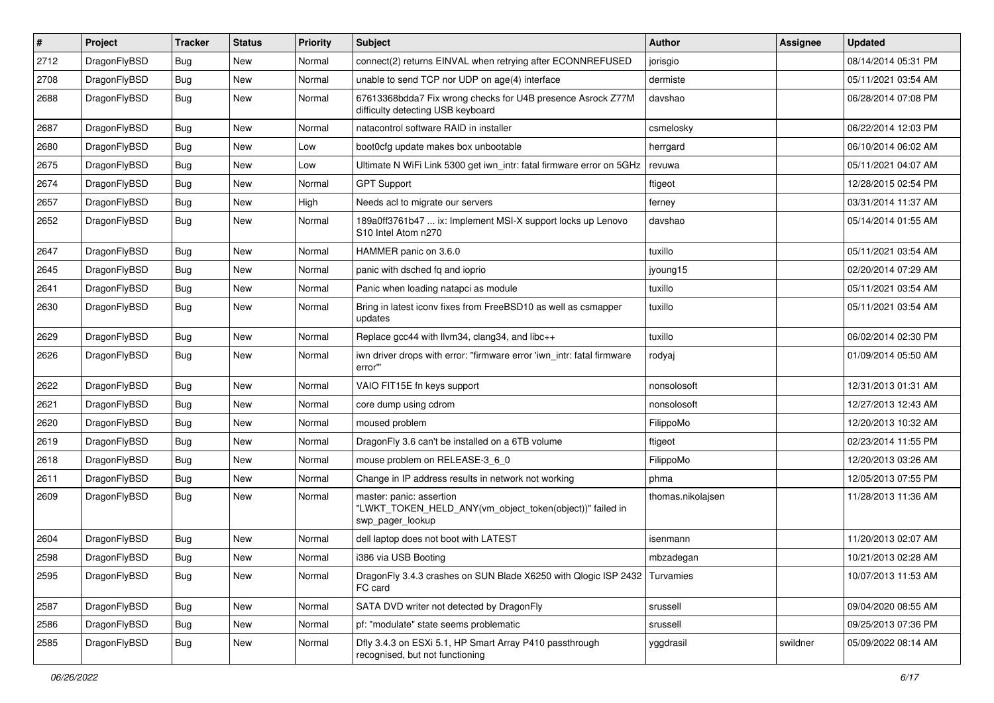| $\sharp$ | Project      | <b>Tracker</b> | <b>Status</b> | <b>Priority</b> | Subject                                                                                                  | <b>Author</b>     | Assignee | <b>Updated</b>      |
|----------|--------------|----------------|---------------|-----------------|----------------------------------------------------------------------------------------------------------|-------------------|----------|---------------------|
| 2712     | DragonFlyBSD | Bug            | <b>New</b>    | Normal          | connect(2) returns EINVAL when retrying after ECONNREFUSED                                               | jorisgio          |          | 08/14/2014 05:31 PM |
| 2708     | DragonFlyBSD | Bug            | <b>New</b>    | Normal          | unable to send TCP nor UDP on age(4) interface                                                           | dermiste          |          | 05/11/2021 03:54 AM |
| 2688     | DragonFlyBSD | Bug            | <b>New</b>    | Normal          | 67613368bdda7 Fix wrong checks for U4B presence Asrock Z77M<br>difficulty detecting USB keyboard         | davshao           |          | 06/28/2014 07:08 PM |
| 2687     | DragonFlyBSD | <b>Bug</b>     | <b>New</b>    | Normal          | natacontrol software RAID in installer                                                                   | csmelosky         |          | 06/22/2014 12:03 PM |
| 2680     | DragonFlyBSD | <b>Bug</b>     | <b>New</b>    | Low             | boot0cfg update makes box unbootable                                                                     | herrgard          |          | 06/10/2014 06:02 AM |
| 2675     | DragonFlyBSD | <b>Bug</b>     | <b>New</b>    | Low             | Ultimate N WiFi Link 5300 get iwn_intr: fatal firmware error on 5GHz                                     | revuwa            |          | 05/11/2021 04:07 AM |
| 2674     | DragonFlyBSD | <b>Bug</b>     | <b>New</b>    | Normal          | <b>GPT Support</b>                                                                                       | ftigeot           |          | 12/28/2015 02:54 PM |
| 2657     | DragonFlyBSD | <b>Bug</b>     | <b>New</b>    | High            | Needs acl to migrate our servers                                                                         | ferney            |          | 03/31/2014 11:37 AM |
| 2652     | DragonFlyBSD | Bug            | New           | Normal          | 189a0ff3761b47  ix: Implement MSI-X support locks up Lenovo<br>S10 Intel Atom n270                       | davshao           |          | 05/14/2014 01:55 AM |
| 2647     | DragonFlyBSD | <b>Bug</b>     | <b>New</b>    | Normal          | HAMMER panic on 3.6.0                                                                                    | tuxillo           |          | 05/11/2021 03:54 AM |
| 2645     | DragonFlyBSD | Bug            | <b>New</b>    | Normal          | panic with dsched fq and ioprio                                                                          | jyoung15          |          | 02/20/2014 07:29 AM |
| 2641     | DragonFlyBSD | <b>Bug</b>     | New           | Normal          | Panic when loading natapci as module                                                                     | tuxillo           |          | 05/11/2021 03:54 AM |
| 2630     | DragonFlyBSD | Bug            | New           | Normal          | Bring in latest iconv fixes from FreeBSD10 as well as csmapper<br>updates                                | tuxillo           |          | 05/11/2021 03:54 AM |
| 2629     | DragonFlyBSD | <b>Bug</b>     | <b>New</b>    | Normal          | Replace gcc44 with llvm34, clang34, and libc++                                                           | tuxillo           |          | 06/02/2014 02:30 PM |
| 2626     | DragonFlyBSD | <b>Bug</b>     | New           | Normal          | iwn driver drops with error: "firmware error 'iwn_intr: fatal firmware<br>error""                        | rodyaj            |          | 01/09/2014 05:50 AM |
| 2622     | DragonFlyBSD | <b>Bug</b>     | <b>New</b>    | Normal          | VAIO FIT15E fn keys support                                                                              | nonsolosoft       |          | 12/31/2013 01:31 AM |
| 2621     | DragonFlyBSD | <b>Bug</b>     | <b>New</b>    | Normal          | core dump using cdrom                                                                                    | nonsolosoft       |          | 12/27/2013 12:43 AM |
| 2620     | DragonFlyBSD | <b>Bug</b>     | New           | Normal          | moused problem                                                                                           | FilippoMo         |          | 12/20/2013 10:32 AM |
| 2619     | DragonFlyBSD | <b>Bug</b>     | <b>New</b>    | Normal          | DragonFly 3.6 can't be installed on a 6TB volume                                                         | ftigeot           |          | 02/23/2014 11:55 PM |
| 2618     | DragonFlyBSD | <b>Bug</b>     | <b>New</b>    | Normal          | mouse problem on RELEASE-3_6_0                                                                           | FilippoMo         |          | 12/20/2013 03:26 AM |
| 2611     | DragonFlyBSD | <b>Bug</b>     | <b>New</b>    | Normal          | Change in IP address results in network not working                                                      | phma              |          | 12/05/2013 07:55 PM |
| 2609     | DragonFlyBSD | <b>Bug</b>     | <b>New</b>    | Normal          | master: panic: assertion<br>"LWKT_TOKEN_HELD_ANY(vm_object_token(object))" failed in<br>swp pager lookup | thomas.nikolajsen |          | 11/28/2013 11:36 AM |
| 2604     | DragonFlyBSD | <b>Bug</b>     | <b>New</b>    | Normal          | dell laptop does not boot with LATEST                                                                    | isenmann          |          | 11/20/2013 02:07 AM |
| 2598     | DragonFlvBSD | <b>Bug</b>     | <b>New</b>    | Normal          | i386 via USB Booting                                                                                     | mbzadegan         |          | 10/21/2013 02:28 AM |
| 2595     | DragonFlyBSD | Bug            | New           | Normal          | DragonFly 3.4.3 crashes on SUN Blade X6250 with Qlogic ISP 2432 Turvamies<br>FC card                     |                   |          | 10/07/2013 11:53 AM |
| 2587     | DragonFlyBSD | <b>Bug</b>     | New           | Normal          | SATA DVD writer not detected by DragonFly                                                                | srussell          |          | 09/04/2020 08:55 AM |
| 2586     | DragonFlyBSD | <b>Bug</b>     | New           | Normal          | pf: "modulate" state seems problematic                                                                   | srussell          |          | 09/25/2013 07:36 PM |
| 2585     | DragonFlyBSD | <b>Bug</b>     | New           | Normal          | Dfly 3.4.3 on ESXi 5.1, HP Smart Array P410 passthrough<br>recognised, but not functioning               | yggdrasil         | swildner | 05/09/2022 08:14 AM |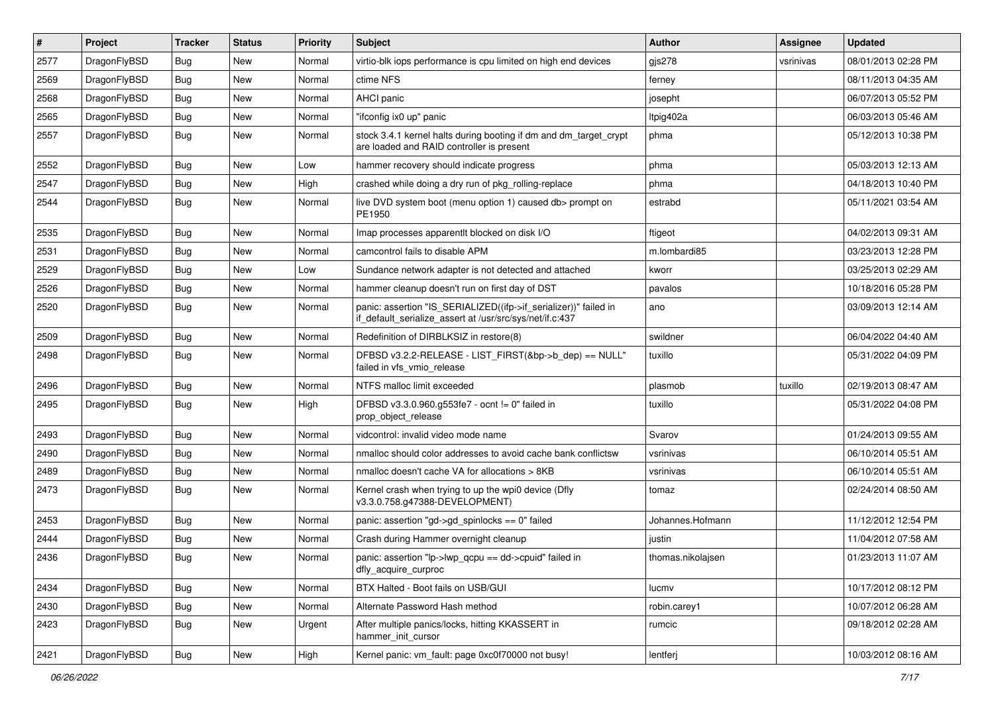| $\vert$ # | Project      | <b>Tracker</b> | <b>Status</b> | <b>Priority</b> | <b>Subject</b>                                                                                                               | <b>Author</b>     | <b>Assignee</b> | <b>Updated</b>      |
|-----------|--------------|----------------|---------------|-----------------|------------------------------------------------------------------------------------------------------------------------------|-------------------|-----------------|---------------------|
| 2577      | DragonFlyBSD | <b>Bug</b>     | <b>New</b>    | Normal          | virtio-blk iops performance is cpu limited on high end devices                                                               | gjs278            | vsrinivas       | 08/01/2013 02:28 PM |
| 2569      | DragonFlyBSD | <b>Bug</b>     | <b>New</b>    | Normal          | ctime NFS                                                                                                                    | ferney            |                 | 08/11/2013 04:35 AM |
| 2568      | DragonFlyBSD | <b>Bug</b>     | <b>New</b>    | Normal          | AHCI panic                                                                                                                   | josepht           |                 | 06/07/2013 05:52 PM |
| 2565      | DragonFlyBSD | Bug            | <b>New</b>    | Normal          | "ifconfig ix0 up" panic                                                                                                      | Itpig402a         |                 | 06/03/2013 05:46 AM |
| 2557      | DragonFlyBSD | Bug            | <b>New</b>    | Normal          | stock 3.4.1 kernel halts during booting if dm and dm_target_crypt<br>are loaded and RAID controller is present               | phma              |                 | 05/12/2013 10:38 PM |
| 2552      | DragonFlyBSD | Bug            | <b>New</b>    | Low             | hammer recovery should indicate progress                                                                                     | phma              |                 | 05/03/2013 12:13 AM |
| 2547      | DragonFlyBSD | <b>Bug</b>     | <b>New</b>    | High            | crashed while doing a dry run of pkg rolling-replace                                                                         | phma              |                 | 04/18/2013 10:40 PM |
| 2544      | DragonFlyBSD | Bug            | <b>New</b>    | Normal          | live DVD system boot (menu option 1) caused db> prompt on<br>PE1950                                                          | estrabd           |                 | 05/11/2021 03:54 AM |
| 2535      | DragonFlyBSD | <b>Bug</b>     | <b>New</b>    | Normal          | Imap processes apparentlt blocked on disk I/O                                                                                | ftigeot           |                 | 04/02/2013 09:31 AM |
| 2531      | DragonFlyBSD | Bug            | <b>New</b>    | Normal          | camcontrol fails to disable APM                                                                                              | m.lombardi85      |                 | 03/23/2013 12:28 PM |
| 2529      | DragonFlyBSD | <b>Bug</b>     | <b>New</b>    | Low             | Sundance network adapter is not detected and attached                                                                        | kworr             |                 | 03/25/2013 02:29 AM |
| 2526      | DragonFlyBSD | <b>Bug</b>     | <b>New</b>    | Normal          | hammer cleanup doesn't run on first day of DST                                                                               | pavalos           |                 | 10/18/2016 05:28 PM |
| 2520      | DragonFlyBSD | Bug            | <b>New</b>    | Normal          | panic: assertion "IS_SERIALIZED((ifp->if_serializer))" failed in<br>if_default_serialize_assert at /usr/src/sys/net/if.c:437 | ano               |                 | 03/09/2013 12:14 AM |
| 2509      | DragonFlyBSD | Bug            | <b>New</b>    | Normal          | Redefinition of DIRBLKSIZ in restore(8)                                                                                      | swildner          |                 | 06/04/2022 04:40 AM |
| 2498      | DragonFlyBSD | <b>Bug</b>     | <b>New</b>    | Normal          | DFBSD v3.2.2-RELEASE - LIST_FIRST(&bp->b_dep) == NULL"<br>failed in vfs_vmio_release                                         | tuxillo           |                 | 05/31/2022 04:09 PM |
| 2496      | DragonFlyBSD | Bug            | <b>New</b>    | Normal          | NTFS malloc limit exceeded                                                                                                   | plasmob           | tuxillo         | 02/19/2013 08:47 AM |
| 2495      | DragonFlyBSD | Bug            | <b>New</b>    | High            | DFBSD v3.3.0.960.g553fe7 - ocnt != 0" failed in<br>prop object release                                                       | tuxillo           |                 | 05/31/2022 04:08 PM |
| 2493      | DragonFlyBSD | Bug            | <b>New</b>    | Normal          | vidcontrol: invalid video mode name                                                                                          | Svarov            |                 | 01/24/2013 09:55 AM |
| 2490      | DragonFlyBSD | <b>Bug</b>     | <b>New</b>    | Normal          | nmalloc should color addresses to avoid cache bank conflictsw                                                                | vsrinivas         |                 | 06/10/2014 05:51 AM |
| 2489      | DragonFlyBSD | Bug            | <b>New</b>    | Normal          | nmalloc doesn't cache VA for allocations > 8KB                                                                               | vsrinivas         |                 | 06/10/2014 05:51 AM |
| 2473      | DragonFlyBSD | Bug            | <b>New</b>    | Normal          | Kernel crash when trying to up the wpi0 device (Dfly<br>v3.3.0.758.g47388-DEVELOPMENT)                                       | tomaz             |                 | 02/24/2014 08:50 AM |
| 2453      | DragonFlyBSD | Bug            | <b>New</b>    | Normal          | panic: assertion "gd->gd_spinlocks == 0" failed                                                                              | Johannes.Hofmann  |                 | 11/12/2012 12:54 PM |
| 2444      | DragonFlyBSD | <b>Bug</b>     | <b>New</b>    | Normal          | Crash during Hammer overnight cleanup                                                                                        | justin            |                 | 11/04/2012 07:58 AM |
| 2436      | DragonFlyBSD | Bug            | New           | Normal          | panic: assertion "lp->lwp_qcpu == dd->cpuid" failed in<br>dfly_acquire_curproc                                               | thomas.nikolaisen |                 | 01/23/2013 11:07 AM |
| 2434      | DragonFlyBSD | <b>Bug</b>     | <b>New</b>    | Normal          | BTX Halted - Boot fails on USB/GUI                                                                                           | lucmv             |                 | 10/17/2012 08:12 PM |
| 2430      | DragonFlyBSD | Bug            | New           | Normal          | Alternate Password Hash method                                                                                               | robin.carey1      |                 | 10/07/2012 06:28 AM |
| 2423      | DragonFlyBSD | <b>Bug</b>     | New           | Urgent          | After multiple panics/locks, hitting KKASSERT in<br>hammer_init_cursor                                                       | rumcic            |                 | 09/18/2012 02:28 AM |
| 2421      | DragonFlyBSD | Bug            | New           | High            | Kernel panic: vm_fault: page 0xc0f70000 not busy!                                                                            | lentferj          |                 | 10/03/2012 08:16 AM |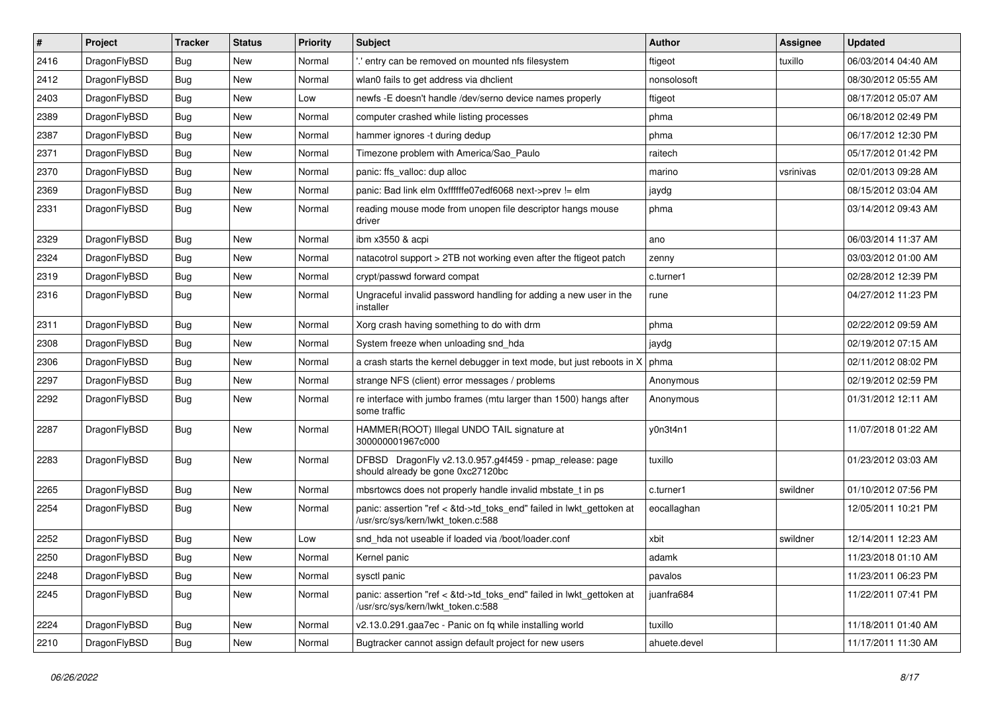| $\sharp$ | Project      | <b>Tracker</b> | <b>Status</b> | <b>Priority</b> | Subject                                                                                                    | Author       | Assignee  | <b>Updated</b>      |
|----------|--------------|----------------|---------------|-----------------|------------------------------------------------------------------------------------------------------------|--------------|-----------|---------------------|
| 2416     | DragonFlyBSD | Bug            | New           | Normal          | ' entry can be removed on mounted nfs filesystem                                                           | ftigeot      | tuxillo   | 06/03/2014 04:40 AM |
| 2412     | DragonFlyBSD | Bug            | <b>New</b>    | Normal          | wlan0 fails to get address via dhclient                                                                    | nonsolosoft  |           | 08/30/2012 05:55 AM |
| 2403     | DragonFlyBSD | <b>Bug</b>     | New           | Low             | newfs -E doesn't handle /dev/serno device names properly                                                   | ftigeot      |           | 08/17/2012 05:07 AM |
| 2389     | DragonFlyBSD | Bug            | <b>New</b>    | Normal          | computer crashed while listing processes                                                                   | phma         |           | 06/18/2012 02:49 PM |
| 2387     | DragonFlyBSD | Bug            | <b>New</b>    | Normal          | hammer ignores -t during dedup                                                                             | phma         |           | 06/17/2012 12:30 PM |
| 2371     | DragonFlyBSD | Bug            | <b>New</b>    | Normal          | Timezone problem with America/Sao_Paulo                                                                    | raitech      |           | 05/17/2012 01:42 PM |
| 2370     | DragonFlyBSD | Bug            | New           | Normal          | panic: ffs_valloc: dup alloc                                                                               | marino       | vsrinivas | 02/01/2013 09:28 AM |
| 2369     | DragonFlyBSD | Bug            | <b>New</b>    | Normal          | panic: Bad link elm 0xffffffe07edf6068 next->prev != elm                                                   | jaydg        |           | 08/15/2012 03:04 AM |
| 2331     | DragonFlyBSD | Bug            | New           | Normal          | reading mouse mode from unopen file descriptor hangs mouse<br>driver                                       | phma         |           | 03/14/2012 09:43 AM |
| 2329     | DragonFlyBSD | Bug            | <b>New</b>    | Normal          | ibm x3550 & acpi                                                                                           | ano          |           | 06/03/2014 11:37 AM |
| 2324     | DragonFlyBSD | Bug            | New           | Normal          | natacotrol support > 2TB not working even after the ftigeot patch                                          | zenny        |           | 03/03/2012 01:00 AM |
| 2319     | DragonFlyBSD | <b>Bug</b>     | New           | Normal          | crypt/passwd forward compat                                                                                | c.turner1    |           | 02/28/2012 12:39 PM |
| 2316     | DragonFlyBSD | Bug            | <b>New</b>    | Normal          | Ungraceful invalid password handling for adding a new user in the<br>installer                             | rune         |           | 04/27/2012 11:23 PM |
| 2311     | DragonFlyBSD | Bug            | New           | Normal          | Xorg crash having something to do with drm                                                                 | phma         |           | 02/22/2012 09:59 AM |
| 2308     | DragonFlyBSD | Bug            | New           | Normal          | System freeze when unloading snd_hda                                                                       | jaydg        |           | 02/19/2012 07:15 AM |
| 2306     | DragonFlyBSD | Bug            | <b>New</b>    | Normal          | a crash starts the kernel debugger in text mode, but just reboots in X                                     | phma         |           | 02/11/2012 08:02 PM |
| 2297     | DragonFlyBSD | Bug            | New           | Normal          | strange NFS (client) error messages / problems                                                             | Anonymous    |           | 02/19/2012 02:59 PM |
| 2292     | DragonFlyBSD | Bug            | <b>New</b>    | Normal          | re interface with jumbo frames (mtu larger than 1500) hangs after<br>some traffic                          | Anonymous    |           | 01/31/2012 12:11 AM |
| 2287     | DragonFlyBSD | Bug            | New           | Normal          | HAMMER(ROOT) Illegal UNDO TAIL signature at<br>300000001967c000                                            | y0n3t4n1     |           | 11/07/2018 01:22 AM |
| 2283     | DragonFlyBSD | Bug            | <b>New</b>    | Normal          | DFBSD DragonFly v2.13.0.957.g4f459 - pmap_release: page<br>should already be gone 0xc27120bc               | tuxillo      |           | 01/23/2012 03:03 AM |
| 2265     | DragonFlyBSD | Bug            | <b>New</b>    | Normal          | mbsrtowcs does not properly handle invalid mbstate_t in ps                                                 | c.turner1    | swildner  | 01/10/2012 07:56 PM |
| 2254     | DragonFlyBSD | Bug            | New           | Normal          | panic: assertion "ref < &td->td_toks_end" failed in lwkt_gettoken at<br>/usr/src/sys/kern/lwkt_token.c:588 | eocallaghan  |           | 12/05/2011 10:21 PM |
| 2252     | DragonFlyBSD | Bug            | <b>New</b>    | Low             | snd_hda not useable if loaded via /boot/loader.conf                                                        | xbit         | swildner  | 12/14/2011 12:23 AM |
| 2250     | DragonFlyBSD | Bug            | <b>New</b>    | Normal          | Kernel panic                                                                                               | adamk        |           | 11/23/2018 01:10 AM |
| 2248     | DragonFlyBSD | Bug            | <b>New</b>    | Normal          | sysctl panic                                                                                               | pavalos      |           | 11/23/2011 06:23 PM |
| 2245     | DragonFlyBSD | <b>Bug</b>     | New           | Normal          | panic: assertion "ref < &td->td_toks_end" failed in lwkt_gettoken at<br>/usr/src/sys/kern/lwkt_token.c:588 | juanfra684   |           | 11/22/2011 07:41 PM |
| 2224     | DragonFlyBSD | <b>Bug</b>     | <b>New</b>    | Normal          | v2.13.0.291.gaa7ec - Panic on fq while installing world                                                    | tuxillo      |           | 11/18/2011 01:40 AM |
| 2210     | DragonFlyBSD | <b>Bug</b>     | New           | Normal          | Bugtracker cannot assign default project for new users                                                     | ahuete.devel |           | 11/17/2011 11:30 AM |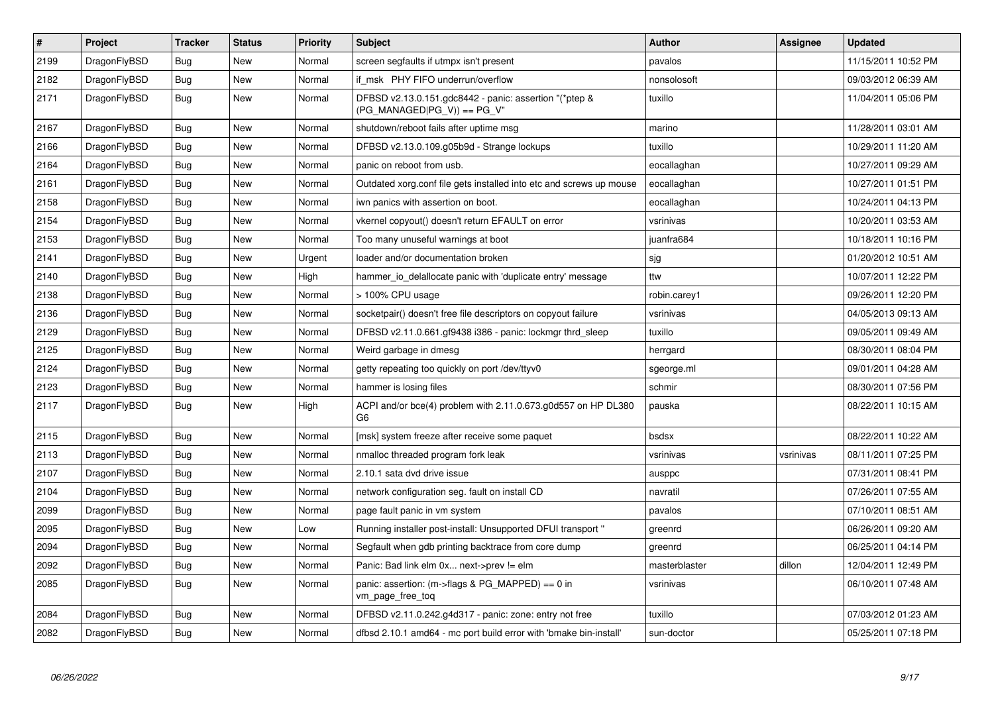| $\vert$ # | Project      | <b>Tracker</b> | <b>Status</b> | <b>Priority</b> | <b>Subject</b>                                                                          | <b>Author</b> | Assignee  | <b>Updated</b>      |
|-----------|--------------|----------------|---------------|-----------------|-----------------------------------------------------------------------------------------|---------------|-----------|---------------------|
| 2199      | DragonFlyBSD | <b>Bug</b>     | <b>New</b>    | Normal          | screen segfaults if utmpx isn't present                                                 | pavalos       |           | 11/15/2011 10:52 PM |
| 2182      | DragonFlyBSD | Bug            | New           | Normal          | if msk PHY FIFO underrun/overflow                                                       | nonsolosoft   |           | 09/03/2012 06:39 AM |
| 2171      | DragonFlyBSD | <b>Bug</b>     | New           | Normal          | DFBSD v2.13.0.151.gdc8442 - panic: assertion "(*ptep &<br>$(PG MANAGED PG V)) == PG V"$ | tuxillo       |           | 11/04/2011 05:06 PM |
| 2167      | DragonFlyBSD | <b>Bug</b>     | New           | Normal          | shutdown/reboot fails after uptime msg                                                  | marino        |           | 11/28/2011 03:01 AM |
| 2166      | DragonFlyBSD | Bug            | New           | Normal          | DFBSD v2.13.0.109.g05b9d - Strange lockups                                              | tuxillo       |           | 10/29/2011 11:20 AM |
| 2164      | DragonFlyBSD | Bug            | New           | Normal          | panic on reboot from usb.                                                               | eocallaghan   |           | 10/27/2011 09:29 AM |
| 2161      | DragonFlyBSD | Bug            | New           | Normal          | Outdated xorg.conf file gets installed into etc and screws up mouse                     | eocallaghan   |           | 10/27/2011 01:51 PM |
| 2158      | DragonFlyBSD | <b>Bug</b>     | <b>New</b>    | Normal          | iwn panics with assertion on boot.                                                      | eocallaghan   |           | 10/24/2011 04:13 PM |
| 2154      | DragonFlyBSD | Bug            | New           | Normal          | vkernel copyout() doesn't return EFAULT on error                                        | vsrinivas     |           | 10/20/2011 03:53 AM |
| 2153      | DragonFlyBSD | Bug            | New           | Normal          | Too many unuseful warnings at boot                                                      | juanfra684    |           | 10/18/2011 10:16 PM |
| 2141      | DragonFlyBSD | <b>Bug</b>     | <b>New</b>    | Urgent          | loader and/or documentation broken                                                      | sjg           |           | 01/20/2012 10:51 AM |
| 2140      | DragonFlyBSD | <b>Bug</b>     | <b>New</b>    | High            | hammer_io_delallocate panic with 'duplicate entry' message                              | ttw           |           | 10/07/2011 12:22 PM |
| 2138      | DragonFlyBSD | Bug            | New           | Normal          | > 100% CPU usage                                                                        | robin.carey1  |           | 09/26/2011 12:20 PM |
| 2136      | DragonFlyBSD | <b>Bug</b>     | New           | Normal          | socketpair() doesn't free file descriptors on copyout failure                           | vsrinivas     |           | 04/05/2013 09:13 AM |
| 2129      | DragonFlyBSD | <b>Bug</b>     | <b>New</b>    | Normal          | DFBSD v2.11.0.661.gf9438 i386 - panic: lockmgr thrd_sleep                               | tuxillo       |           | 09/05/2011 09:49 AM |
| 2125      | DragonFlyBSD | Bug            | New           | Normal          | Weird garbage in dmesg                                                                  | herrgard      |           | 08/30/2011 08:04 PM |
| 2124      | DragonFlyBSD | Bug            | New           | Normal          | getty repeating too quickly on port /dev/ttyv0                                          | sgeorge.ml    |           | 09/01/2011 04:28 AM |
| 2123      | DragonFlyBSD | Bug            | New           | Normal          | hammer is losing files                                                                  | schmir        |           | 08/30/2011 07:56 PM |
| 2117      | DragonFlyBSD | <b>Bug</b>     | New           | High            | ACPI and/or bce(4) problem with 2.11.0.673.g0d557 on HP DL380<br>G <sub>6</sub>         | pauska        |           | 08/22/2011 10:15 AM |
| 2115      | DragonFlyBSD | <b>Bug</b>     | New           | Normal          | [msk] system freeze after receive some paquet                                           | bsdsx         |           | 08/22/2011 10:22 AM |
| 2113      | DragonFlyBSD | Bug            | New           | Normal          | nmalloc threaded program fork leak                                                      | vsrinivas     | vsrinivas | 08/11/2011 07:25 PM |
| 2107      | DragonFlyBSD | <b>Bug</b>     | New           | Normal          | 2.10.1 sata dvd drive issue                                                             | ausppc        |           | 07/31/2011 08:41 PM |
| 2104      | DragonFlyBSD | Bug            | New           | Normal          | network configuration seg. fault on install CD                                          | navratil      |           | 07/26/2011 07:55 AM |
| 2099      | DragonFlyBSD | <b>Bug</b>     | New           | Normal          | page fault panic in vm system                                                           | pavalos       |           | 07/10/2011 08:51 AM |
| 2095      | DragonFlyBSD | Bug            | New           | Low             | Running installer post-install: Unsupported DFUI transport "                            | greenrd       |           | 06/26/2011 09:20 AM |
| 2094      | DragonFlyBSD | <b>Bug</b>     | New           | Normal          | Segfault when gdb printing backtrace from core dump                                     | greenrd       |           | 06/25/2011 04:14 PM |
| 2092      | DragonFlyBSD | Bug            | New           | Normal          | Panic: Bad link elm 0x next->prev != elm                                                | masterblaster | dillon    | 12/04/2011 12:49 PM |
| 2085      | DragonFlyBSD | <b>Bug</b>     | New           | Normal          | panic: assertion: (m->flags & PG_MAPPED) == 0 in<br>vm_page_free_toq                    | vsrinivas     |           | 06/10/2011 07:48 AM |
| 2084      | DragonFlyBSD | Bug            | New           | Normal          | DFBSD v2.11.0.242.g4d317 - panic: zone: entry not free                                  | tuxillo       |           | 07/03/2012 01:23 AM |
| 2082      | DragonFlyBSD | Bug            | New           | Normal          | dfbsd 2.10.1 amd64 - mc port build error with 'bmake bin-install'                       | sun-doctor    |           | 05/25/2011 07:18 PM |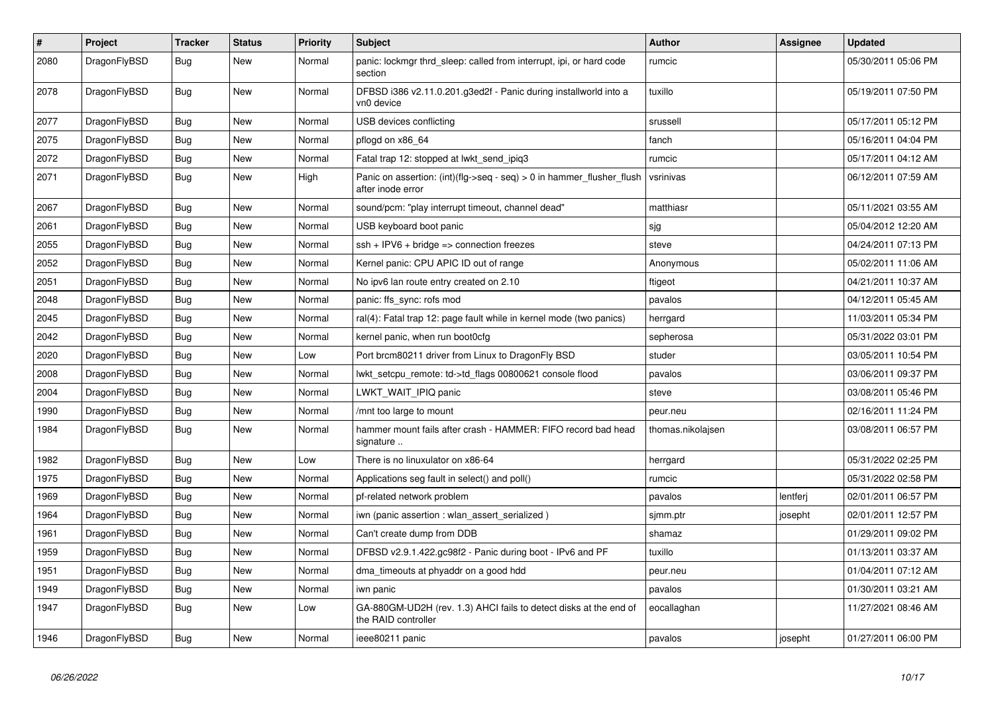| $\vert$ # | Project      | <b>Tracker</b> | <b>Status</b> | <b>Priority</b> | <b>Subject</b>                                                                             | <b>Author</b>     | Assignee | <b>Updated</b>      |
|-----------|--------------|----------------|---------------|-----------------|--------------------------------------------------------------------------------------------|-------------------|----------|---------------------|
| 2080      | DragonFlyBSD | Bug            | New           | Normal          | panic: lockmgr thrd sleep: called from interrupt, ipi, or hard code<br>section             | rumcic            |          | 05/30/2011 05:06 PM |
| 2078      | DragonFlyBSD | <b>Bug</b>     | <b>New</b>    | Normal          | DFBSD i386 v2.11.0.201.g3ed2f - Panic during installworld into a<br>vn0 device             | tuxillo           |          | 05/19/2011 07:50 PM |
| 2077      | DragonFlyBSD | <b>Bug</b>     | <b>New</b>    | Normal          | USB devices conflicting                                                                    | srussell          |          | 05/17/2011 05:12 PM |
| 2075      | DragonFlyBSD | Bug            | New           | Normal          | pflogd on x86 64                                                                           | fanch             |          | 05/16/2011 04:04 PM |
| 2072      | DragonFlyBSD | <b>Bug</b>     | <b>New</b>    | Normal          | Fatal trap 12: stopped at lwkt_send_ipiq3                                                  | rumcic            |          | 05/17/2011 04:12 AM |
| 2071      | DragonFlyBSD | Bug            | New           | High            | Panic on assertion: (int)(flg->seq - seq) > 0 in hammer flusher flush<br>after inode error | vsrinivas         |          | 06/12/2011 07:59 AM |
| 2067      | DragonFlyBSD | <b>Bug</b>     | New           | Normal          | sound/pcm: "play interrupt timeout, channel dead"                                          | matthiasr         |          | 05/11/2021 03:55 AM |
| 2061      | DragonFlyBSD | <b>Bug</b>     | New           | Normal          | USB keyboard boot panic                                                                    | sjg               |          | 05/04/2012 12:20 AM |
| 2055      | DragonFlyBSD | <b>Bug</b>     | New           | Normal          | $\operatorname{csh}$ + IPV6 + bridge => connection freezes                                 | steve             |          | 04/24/2011 07:13 PM |
| 2052      | DragonFlyBSD | Bug            | New           | Normal          | Kernel panic: CPU APIC ID out of range                                                     | Anonymous         |          | 05/02/2011 11:06 AM |
| 2051      | DragonFlyBSD | Bug            | <b>New</b>    | Normal          | No ipv6 lan route entry created on 2.10                                                    | ftigeot           |          | 04/21/2011 10:37 AM |
| 2048      | DragonFlyBSD | <b>Bug</b>     | New           | Normal          | panic: ffs_sync: rofs mod                                                                  | pavalos           |          | 04/12/2011 05:45 AM |
| 2045      | DragonFlyBSD | <b>Bug</b>     | New           | Normal          | ral(4): Fatal trap 12: page fault while in kernel mode (two panics)                        | herrgard          |          | 11/03/2011 05:34 PM |
| 2042      | DragonFlyBSD | Bug            | New           | Normal          | kernel panic, when run boot0cfg                                                            | sepherosa         |          | 05/31/2022 03:01 PM |
| 2020      | DragonFlyBSD | Bug            | New           | Low             | Port brcm80211 driver from Linux to DragonFly BSD                                          | studer            |          | 03/05/2011 10:54 PM |
| 2008      | DragonFlyBSD | Bug            | <b>New</b>    | Normal          | lwkt_setcpu_remote: td->td_flags 00800621 console flood                                    | pavalos           |          | 03/06/2011 09:37 PM |
| 2004      | DragonFlyBSD | <b>Bug</b>     | New           | Normal          | LWKT_WAIT_IPIQ panic                                                                       | steve             |          | 03/08/2011 05:46 PM |
| 1990      | DragonFlyBSD | <b>Bug</b>     | New           | Normal          | /mnt too large to mount                                                                    | peur.neu          |          | 02/16/2011 11:24 PM |
| 1984      | DragonFlyBSD | Bug            | New           | Normal          | hammer mount fails after crash - HAMMER: FIFO record bad head<br>signature                 | thomas.nikolajsen |          | 03/08/2011 06:57 PM |
| 1982      | DragonFlyBSD | Bug            | New           | Low             | There is no linuxulator on x86-64                                                          | herrgard          |          | 05/31/2022 02:25 PM |
| 1975      | DragonFlyBSD | Bug            | New           | Normal          | Applications seg fault in select() and poll()                                              | rumcic            |          | 05/31/2022 02:58 PM |
| 1969      | DragonFlyBSD | <b>Bug</b>     | New           | Normal          | pf-related network problem                                                                 | pavalos           | lentferj | 02/01/2011 06:57 PM |
| 1964      | DragonFlyBSD | Bug            | New           | Normal          | iwn (panic assertion : wlan assert serialized)                                             | sjmm.ptr          | josepht  | 02/01/2011 12:57 PM |
| 1961      | DragonFlyBSD | Bug            | New           | Normal          | Can't create dump from DDB                                                                 | shamaz            |          | 01/29/2011 09:02 PM |
| 1959      | DragonFlyBSD | <b>Bug</b>     | New           | Normal          | DFBSD v2.9.1.422.gc98f2 - Panic during boot - IPv6 and PF                                  | tuxillo           |          | 01/13/2011 03:37 AM |
| 1951      | DragonFlyBSD | <b>Bug</b>     | New           | Normal          | dma_timeouts at phyaddr on a good hdd                                                      | peur.neu          |          | 01/04/2011 07:12 AM |
| 1949      | DragonFlyBSD | Bug            | New           | Normal          | iwn panic                                                                                  | pavalos           |          | 01/30/2011 03:21 AM |
| 1947      | DragonFlyBSD | Bug            | New           | Low             | GA-880GM-UD2H (rev. 1.3) AHCI fails to detect disks at the end of<br>the RAID controller   | eocallaghan       |          | 11/27/2021 08:46 AM |
| 1946      | DragonFlyBSD | Bug            | New           | Normal          | ieee80211 panic                                                                            | pavalos           | josepht  | 01/27/2011 06:00 PM |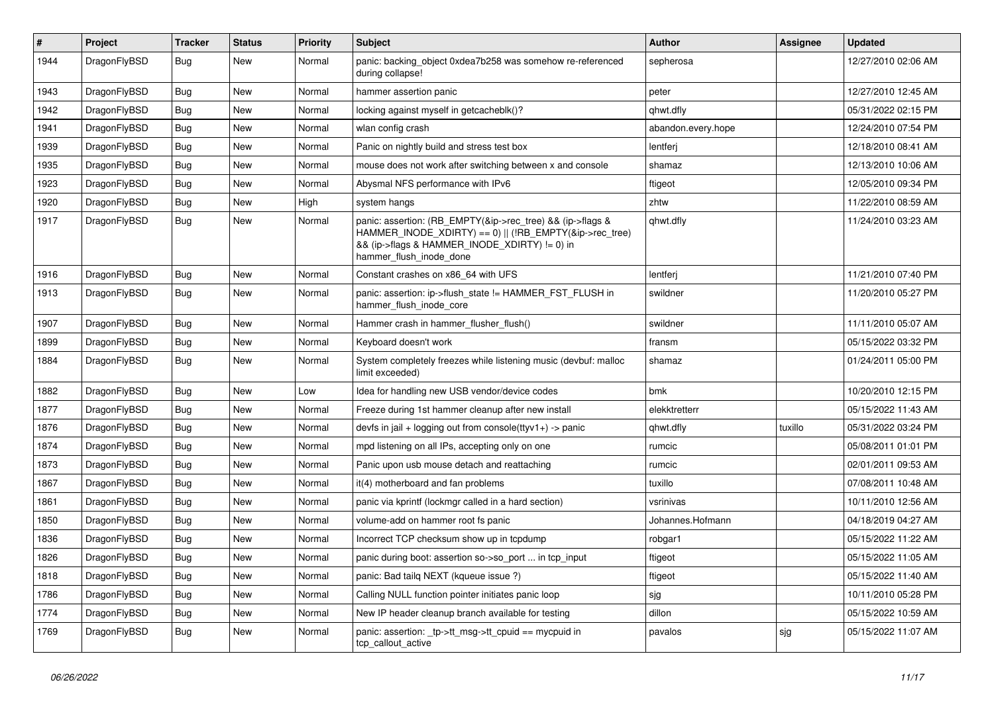| #    | Project      | <b>Tracker</b> | <b>Status</b> | <b>Priority</b> | <b>Subject</b>                                                                                                                                                                                    | Author             | Assignee | <b>Updated</b>      |
|------|--------------|----------------|---------------|-----------------|---------------------------------------------------------------------------------------------------------------------------------------------------------------------------------------------------|--------------------|----------|---------------------|
| 1944 | DragonFlyBSD | Bug            | New           | Normal          | panic: backing object 0xdea7b258 was somehow re-referenced<br>during collapse!                                                                                                                    | sepherosa          |          | 12/27/2010 02:06 AM |
| 1943 | DragonFlyBSD | <b>Bug</b>     | <b>New</b>    | Normal          | hammer assertion panic                                                                                                                                                                            | peter              |          | 12/27/2010 12:45 AM |
| 1942 | DragonFlyBSD | Bug            | New           | Normal          | locking against myself in getcacheblk()?                                                                                                                                                          | qhwt.dfly          |          | 05/31/2022 02:15 PM |
| 1941 | DragonFlyBSD | <b>Bug</b>     | <b>New</b>    | Normal          | wlan config crash                                                                                                                                                                                 | abandon.every.hope |          | 12/24/2010 07:54 PM |
| 1939 | DragonFlyBSD | <b>Bug</b>     | <b>New</b>    | Normal          | Panic on nightly build and stress test box                                                                                                                                                        | lentferj           |          | 12/18/2010 08:41 AM |
| 1935 | DragonFlyBSD | Bug            | <b>New</b>    | Normal          | mouse does not work after switching between x and console                                                                                                                                         | shamaz             |          | 12/13/2010 10:06 AM |
| 1923 | DragonFlyBSD | <b>Bug</b>     | New           | Normal          | Abysmal NFS performance with IPv6                                                                                                                                                                 | ftigeot            |          | 12/05/2010 09:34 PM |
| 1920 | DragonFlyBSD | Bug            | <b>New</b>    | High            | system hangs                                                                                                                                                                                      | zhtw               |          | 11/22/2010 08:59 AM |
| 1917 | DragonFlyBSD | Bug            | New           | Normal          | panic: assertion: (RB_EMPTY(&ip->rec_tree) && (ip->flags &<br>HAMMER_INODE_XDIRTY) == 0)    (!RB_EMPTY(&ip->rec_tree)<br>&& (ip->flags & HAMMER_INODE_XDIRTY) != 0) in<br>hammer_flush_inode_done | qhwt.dfly          |          | 11/24/2010 03:23 AM |
| 1916 | DragonFlyBSD | <b>Bug</b>     | New           | Normal          | Constant crashes on x86 64 with UFS                                                                                                                                                               | lentferj           |          | 11/21/2010 07:40 PM |
| 1913 | DragonFlyBSD | Bug            | <b>New</b>    | Normal          | panic: assertion: ip->flush_state != HAMMER_FST_FLUSH in<br>hammer_flush_inode_core                                                                                                               | swildner           |          | 11/20/2010 05:27 PM |
| 1907 | DragonFlyBSD | <b>Bug</b>     | <b>New</b>    | Normal          | Hammer crash in hammer flusher flush()                                                                                                                                                            | swildner           |          | 11/11/2010 05:07 AM |
| 1899 | DragonFlyBSD | <b>Bug</b>     | <b>New</b>    | Normal          | Keyboard doesn't work                                                                                                                                                                             | fransm             |          | 05/15/2022 03:32 PM |
| 1884 | DragonFlyBSD | <b>Bug</b>     | New           | Normal          | System completely freezes while listening music (devbuf: malloc<br>limit exceeded)                                                                                                                | shamaz             |          | 01/24/2011 05:00 PM |
| 1882 | DragonFlyBSD | <b>Bug</b>     | <b>New</b>    | Low             | Idea for handling new USB vendor/device codes                                                                                                                                                     | bmk                |          | 10/20/2010 12:15 PM |
| 1877 | DragonFlyBSD | Bug            | New           | Normal          | Freeze during 1st hammer cleanup after new install                                                                                                                                                | elekktretterr      |          | 05/15/2022 11:43 AM |
| 1876 | DragonFlyBSD | Bug            | <b>New</b>    | Normal          | devfs in jail + logging out from console(ttyv1+) -> panic                                                                                                                                         | qhwt.dfly          | tuxillo  | 05/31/2022 03:24 PM |
| 1874 | DragonFlyBSD | <b>Bug</b>     | New           | Normal          | mpd listening on all IPs, accepting only on one                                                                                                                                                   | rumcic             |          | 05/08/2011 01:01 PM |
| 1873 | DragonFlyBSD | Bug            | <b>New</b>    | Normal          | Panic upon usb mouse detach and reattaching                                                                                                                                                       | rumcic             |          | 02/01/2011 09:53 AM |
| 1867 | DragonFlyBSD | Bug            | <b>New</b>    | Normal          | it(4) motherboard and fan problems                                                                                                                                                                | tuxillo            |          | 07/08/2011 10:48 AM |
| 1861 | DragonFlyBSD | <b>Bug</b>     | <b>New</b>    | Normal          | panic via kprintf (lockmgr called in a hard section)                                                                                                                                              | vsrinivas          |          | 10/11/2010 12:56 AM |
| 1850 | DragonFlyBSD | Bug            | <b>New</b>    | Normal          | volume-add on hammer root fs panic                                                                                                                                                                | Johannes.Hofmann   |          | 04/18/2019 04:27 AM |
| 1836 | DragonFlyBSD | <b>Bug</b>     | <b>New</b>    | Normal          | Incorrect TCP checksum show up in tcpdump                                                                                                                                                         | robgar1            |          | 05/15/2022 11:22 AM |
| 1826 | DragonFlyBSD | Bug            | New           | Normal          | panic during boot: assertion so->so port  in tcp input                                                                                                                                            | ftigeot            |          | 05/15/2022 11:05 AM |
| 1818 | DragonFlyBSD | <b>Bug</b>     | New           | Normal          | panic: Bad tailq NEXT (kqueue issue ?)                                                                                                                                                            | ftigeot            |          | 05/15/2022 11:40 AM |
| 1786 | DragonFlyBSD | <b>Bug</b>     | New           | Normal          | Calling NULL function pointer initiates panic loop                                                                                                                                                | sjg                |          | 10/11/2010 05:28 PM |
| 1774 | DragonFlyBSD | <b>Bug</b>     | New           | Normal          | New IP header cleanup branch available for testing                                                                                                                                                | dillon             |          | 05/15/2022 10:59 AM |
| 1769 | DragonFlyBSD | <b>Bug</b>     | New           | Normal          | panic: assertion: _tp->tt_msg->tt_cpuid == mycpuid in<br>tcp_callout_active                                                                                                                       | pavalos            | sjg      | 05/15/2022 11:07 AM |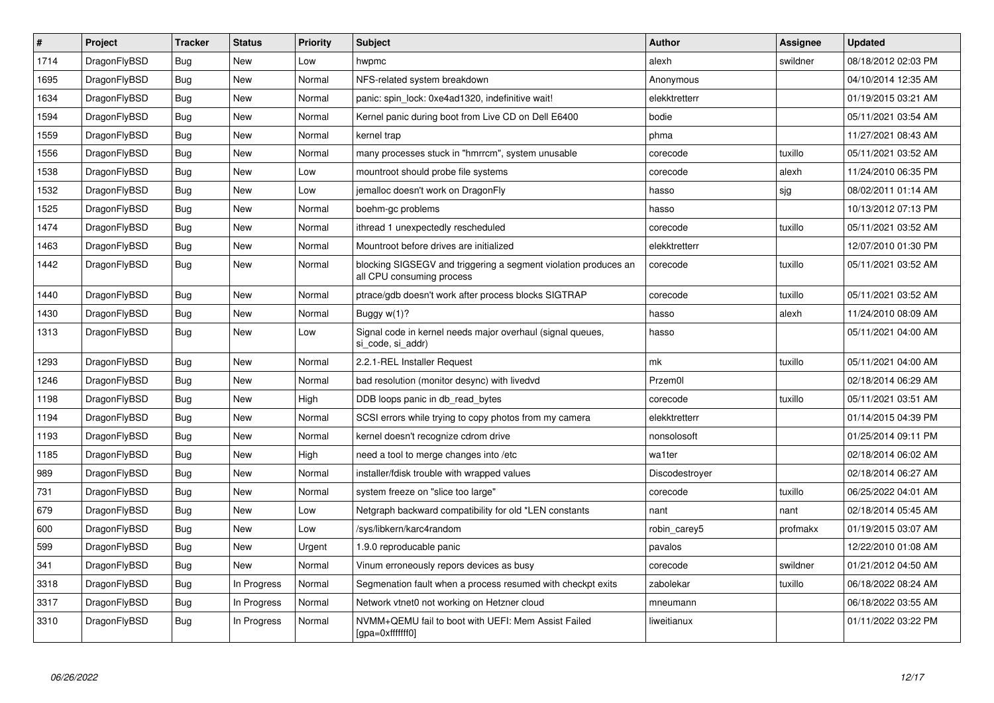| $\vert$ # | Project      | <b>Tracker</b> | <b>Status</b> | <b>Priority</b> | <b>Subject</b>                                                                               | <b>Author</b>  | Assignee | <b>Updated</b>      |
|-----------|--------------|----------------|---------------|-----------------|----------------------------------------------------------------------------------------------|----------------|----------|---------------------|
| 1714      | DragonFlyBSD | <b>Bug</b>     | <b>New</b>    | Low             | hwpmc                                                                                        | alexh          | swildner | 08/18/2012 02:03 PM |
| 1695      | DragonFlyBSD | Bug            | <b>New</b>    | Normal          | NFS-related system breakdown                                                                 | Anonymous      |          | 04/10/2014 12:35 AM |
| 1634      | DragonFlyBSD | <b>Bug</b>     | <b>New</b>    | Normal          | panic: spin lock: 0xe4ad1320, indefinitive wait!                                             | elekktretterr  |          | 01/19/2015 03:21 AM |
| 1594      | DragonFlyBSD | Bug            | New           | Normal          | Kernel panic during boot from Live CD on Dell E6400                                          | bodie          |          | 05/11/2021 03:54 AM |
| 1559      | DragonFlyBSD | <b>Bug</b>     | <b>New</b>    | Normal          | kernel trap                                                                                  | phma           |          | 11/27/2021 08:43 AM |
| 1556      | DragonFlyBSD | <b>Bug</b>     | New           | Normal          | many processes stuck in "hmrrcm", system unusable                                            | corecode       | tuxillo  | 05/11/2021 03:52 AM |
| 1538      | DragonFlyBSD | <b>Bug</b>     | <b>New</b>    | Low             | mountroot should probe file systems                                                          | corecode       | alexh    | 11/24/2010 06:35 PM |
| 1532      | DragonFlyBSD | <b>Bug</b>     | New           | Low             | jemalloc doesn't work on DragonFly                                                           | hasso          | sjg      | 08/02/2011 01:14 AM |
| 1525      | DragonFlyBSD | <b>Bug</b>     | <b>New</b>    | Normal          | boehm-gc problems                                                                            | hasso          |          | 10/13/2012 07:13 PM |
| 1474      | DragonFlyBSD | Bug            | <b>New</b>    | Normal          | ithread 1 unexpectedly rescheduled                                                           | corecode       | tuxillo  | 05/11/2021 03:52 AM |
| 1463      | DragonFlyBSD | <b>Bug</b>     | <b>New</b>    | Normal          | Mountroot before drives are initialized                                                      | elekktretterr  |          | 12/07/2010 01:30 PM |
| 1442      | DragonFlyBSD | <b>Bug</b>     | <b>New</b>    | Normal          | blocking SIGSEGV and triggering a segment violation produces an<br>all CPU consuming process | corecode       | tuxillo  | 05/11/2021 03:52 AM |
| 1440      | DragonFlyBSD | Bug            | <b>New</b>    | Normal          | ptrace/gdb doesn't work after process blocks SIGTRAP                                         | corecode       | tuxillo  | 05/11/2021 03:52 AM |
| 1430      | DragonFlyBSD | <b>Bug</b>     | <b>New</b>    | Normal          | Buggy $w(1)$ ?                                                                               | hasso          | alexh    | 11/24/2010 08:09 AM |
| 1313      | DragonFlyBSD | Bug            | New           | Low             | Signal code in kernel needs major overhaul (signal queues,<br>si_code, si_addr)              | hasso          |          | 05/11/2021 04:00 AM |
| 1293      | DragonFlyBSD | Bug            | <b>New</b>    | Normal          | 2.2.1-REL Installer Request                                                                  | mk             | tuxillo  | 05/11/2021 04:00 AM |
| 1246      | DragonFlyBSD | <b>Bug</b>     | New           | Normal          | bad resolution (monitor desync) with livedvd                                                 | Przem0l        |          | 02/18/2014 06:29 AM |
| 1198      | DragonFlyBSD | Bug            | New           | High            | DDB loops panic in db read bytes                                                             | corecode       | tuxillo  | 05/11/2021 03:51 AM |
| 1194      | DragonFlyBSD | <b>Bug</b>     | New           | Normal          | SCSI errors while trying to copy photos from my camera                                       | elekktretterr  |          | 01/14/2015 04:39 PM |
| 1193      | DragonFlyBSD | <b>Bug</b>     | New           | Normal          | kernel doesn't recognize cdrom drive                                                         | nonsolosoft    |          | 01/25/2014 09:11 PM |
| 1185      | DragonFlyBSD | <b>Bug</b>     | <b>New</b>    | High            | need a tool to merge changes into /etc                                                       | wa1ter         |          | 02/18/2014 06:02 AM |
| 989       | DragonFlyBSD | Bug            | <b>New</b>    | Normal          | installer/fdisk trouble with wrapped values                                                  | Discodestroyer |          | 02/18/2014 06:27 AM |
| 731       | DragonFlyBSD | <b>Bug</b>     | <b>New</b>    | Normal          | system freeze on "slice too large"                                                           | corecode       | tuxillo  | 06/25/2022 04:01 AM |
| 679       | DragonFlyBSD | <b>Bug</b>     | <b>New</b>    | Low             | Netgraph backward compatibility for old *LEN constants                                       | nant           | nant     | 02/18/2014 05:45 AM |
| 600       | DragonFlyBSD | <b>Bug</b>     | <b>New</b>    | Low             | /sys/libkern/karc4random                                                                     | robin_carey5   | profmakx | 01/19/2015 03:07 AM |
| 599       | DragonFlyBSD | Bug            | <b>New</b>    | Urgent          | 1.9.0 reproducable panic                                                                     | pavalos        |          | 12/22/2010 01:08 AM |
| 341       | DragonFlyBSD | <b>Bug</b>     | <b>New</b>    | Normal          | Vinum erroneously repors devices as busy                                                     | corecode       | swildner | 01/21/2012 04:50 AM |
| 3318      | DragonFlyBSD | Bug            | In Progress   | Normal          | Segmenation fault when a process resumed with checkpt exits                                  | zabolekar      | tuxillo  | 06/18/2022 08:24 AM |
| 3317      | DragonFlyBSD | <b>Bug</b>     | In Progress   | Normal          | Network vtnet0 not working on Hetzner cloud                                                  | mneumann       |          | 06/18/2022 03:55 AM |
| 3310      | DragonFlyBSD | Bug            | In Progress   | Normal          | NVMM+QEMU fail to boot with UEFI: Mem Assist Failed<br>[gpa=0xfffffff0]                      | liweitianux    |          | 01/11/2022 03:22 PM |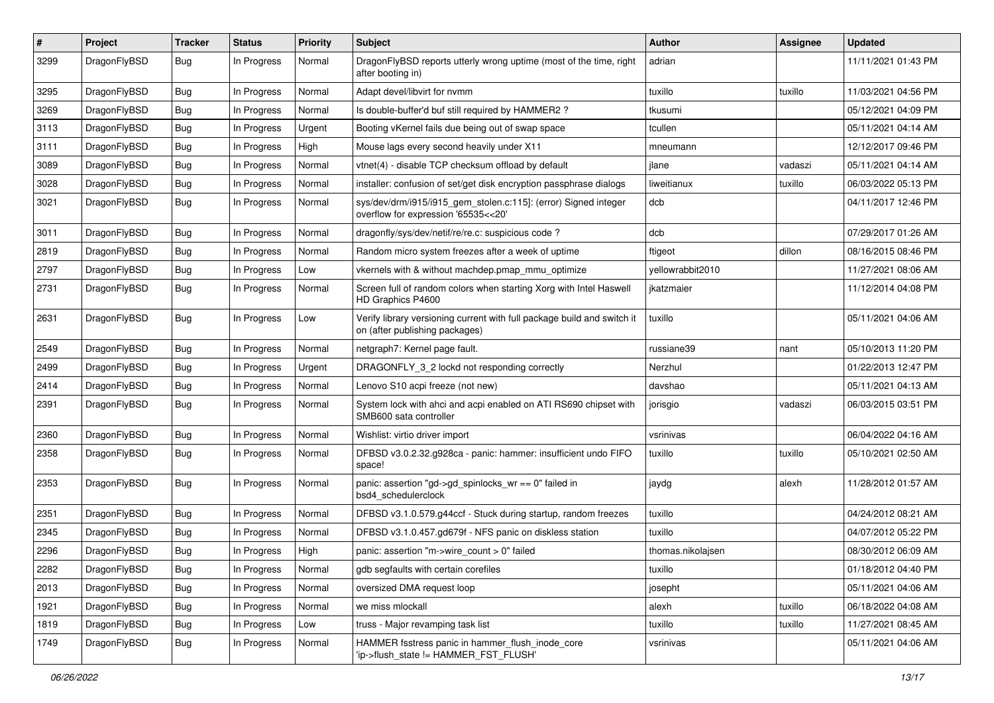| $\pmb{\#}$ | Project      | <b>Tracker</b> | <b>Status</b> | <b>Priority</b> | Subject                                                                                                   | <b>Author</b>     | Assignee | <b>Updated</b>      |
|------------|--------------|----------------|---------------|-----------------|-----------------------------------------------------------------------------------------------------------|-------------------|----------|---------------------|
| 3299       | DragonFlyBSD | Bug            | In Progress   | Normal          | DragonFlyBSD reports utterly wrong uptime (most of the time, right<br>after booting in)                   | adrian            |          | 11/11/2021 01:43 PM |
| 3295       | DragonFlyBSD | Bug            | In Progress   | Normal          | Adapt devel/libvirt for nvmm                                                                              | tuxillo           | tuxillo  | 11/03/2021 04:56 PM |
| 3269       | DragonFlyBSD | Bug            | In Progress   | Normal          | Is double-buffer'd buf still required by HAMMER2?                                                         | tkusumi           |          | 05/12/2021 04:09 PM |
| 3113       | DragonFlyBSD | Bug            | In Progress   | Urgent          | Booting vKernel fails due being out of swap space                                                         | tcullen           |          | 05/11/2021 04:14 AM |
| 3111       | DragonFlyBSD | Bug            | In Progress   | High            | Mouse lags every second heavily under X11                                                                 | mneumann          |          | 12/12/2017 09:46 PM |
| 3089       | DragonFlyBSD | Bug            | In Progress   | Normal          | vtnet(4) - disable TCP checksum offload by default                                                        | jlane             | vadaszi  | 05/11/2021 04:14 AM |
| 3028       | DragonFlyBSD | Bug            | In Progress   | Normal          | installer: confusion of set/get disk encryption passphrase dialogs                                        | liweitianux       | tuxillo  | 06/03/2022 05:13 PM |
| 3021       | DragonFlyBSD | Bug            | In Progress   | Normal          | sys/dev/drm/i915/i915_gem_stolen.c:115]: (error) Signed integer<br>overflow for expression '65535<<20'    | dcb               |          | 04/11/2017 12:46 PM |
| 3011       | DragonFlyBSD | Bug            | In Progress   | Normal          | dragonfly/sys/dev/netif/re/re.c: suspicious code?                                                         | dcb               |          | 07/29/2017 01:26 AM |
| 2819       | DragonFlyBSD | Bug            | In Progress   | Normal          | Random micro system freezes after a week of uptime                                                        | ftigeot           | dillon   | 08/16/2015 08:46 PM |
| 2797       | DragonFlyBSD | Bug            | In Progress   | Low             | vkernels with & without machdep.pmap_mmu_optimize                                                         | yellowrabbit2010  |          | 11/27/2021 08:06 AM |
| 2731       | DragonFlyBSD | Bug            | In Progress   | Normal          | Screen full of random colors when starting Xorg with Intel Haswell<br>HD Graphics P4600                   | jkatzmaier        |          | 11/12/2014 04:08 PM |
| 2631       | DragonFlyBSD | Bug            | In Progress   | Low             | Verify library versioning current with full package build and switch it<br>on (after publishing packages) | tuxillo           |          | 05/11/2021 04:06 AM |
| 2549       | DragonFlyBSD | Bug            | In Progress   | Normal          | netgraph7: Kernel page fault.                                                                             | russiane39        | nant     | 05/10/2013 11:20 PM |
| 2499       | DragonFlyBSD | Bug            | In Progress   | Urgent          | DRAGONFLY 3 2 lockd not responding correctly                                                              | Nerzhul           |          | 01/22/2013 12:47 PM |
| 2414       | DragonFlyBSD | Bug            | In Progress   | Normal          | Lenovo S10 acpi freeze (not new)                                                                          | davshao           |          | 05/11/2021 04:13 AM |
| 2391       | DragonFlyBSD | Bug            | In Progress   | Normal          | System lock with ahci and acpi enabled on ATI RS690 chipset with<br>SMB600 sata controller                | jorisgio          | vadaszi  | 06/03/2015 03:51 PM |
| 2360       | DragonFlyBSD | Bug            | In Progress   | Normal          | Wishlist: virtio driver import                                                                            | vsrinivas         |          | 06/04/2022 04:16 AM |
| 2358       | DragonFlyBSD | Bug            | In Progress   | Normal          | DFBSD v3.0.2.32.g928ca - panic: hammer: insufficient undo FIFO<br>space!                                  | tuxillo           | tuxillo  | 05/10/2021 02:50 AM |
| 2353       | DragonFlyBSD | Bug            | In Progress   | Normal          | panic: assertion "gd->gd_spinlocks_wr == 0" failed in<br>bsd4 schedulerclock                              | jaydg             | alexh    | 11/28/2012 01:57 AM |
| 2351       | DragonFlyBSD | Bug            | In Progress   | Normal          | DFBSD v3.1.0.579.g44ccf - Stuck during startup, random freezes                                            | tuxillo           |          | 04/24/2012 08:21 AM |
| 2345       | DragonFlyBSD | Bug            | In Progress   | Normal          | DFBSD v3.1.0.457.gd679f - NFS panic on diskless station                                                   | tuxillo           |          | 04/07/2012 05:22 PM |
| 2296       | DragonFlyBSD | <b>Bug</b>     | In Progress   | High            | panic: assertion "m->wire count > 0" failed                                                               | thomas.nikolajsen |          | 08/30/2012 06:09 AM |
| 2282       | DragonFlyBSD | <b>Bug</b>     | In Progress   | Normal          | gdb segfaults with certain corefiles                                                                      | tuxillo           |          | 01/18/2012 04:40 PM |
| 2013       | DragonFlyBSD | <b>Bug</b>     | In Progress   | Normal          | oversized DMA request loop                                                                                | josepht           |          | 05/11/2021 04:06 AM |
| 1921       | DragonFlyBSD | <b>Bug</b>     | In Progress   | Normal          | we miss mlockall                                                                                          | alexh             | tuxillo  | 06/18/2022 04:08 AM |
| 1819       | DragonFlyBSD | Bug            | In Progress   | Low             | truss - Major revamping task list                                                                         | tuxillo           | tuxillo  | 11/27/2021 08:45 AM |
| 1749       | DragonFlyBSD | <b>Bug</b>     | In Progress   | Normal          | HAMMER fsstress panic in hammer flush inode core<br>'ip->flush_state != HAMMER_FST_FLUSH'                 | vsrinivas         |          | 05/11/2021 04:06 AM |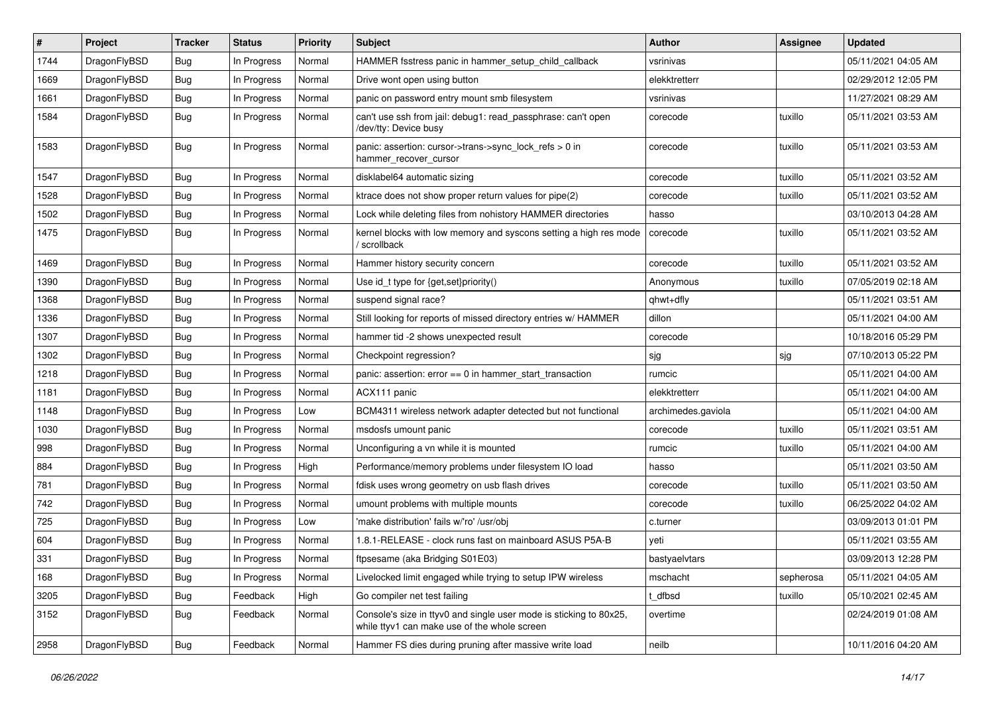| ∦    | Project      | <b>Tracker</b> | <b>Status</b> | <b>Priority</b> | <b>Subject</b>                                                                                                     | <b>Author</b>      | <b>Assignee</b> | <b>Updated</b>      |
|------|--------------|----------------|---------------|-----------------|--------------------------------------------------------------------------------------------------------------------|--------------------|-----------------|---------------------|
| 1744 | DragonFlyBSD | <b>Bug</b>     | In Progress   | Normal          | HAMMER fsstress panic in hammer_setup_child_callback                                                               | vsrinivas          |                 | 05/11/2021 04:05 AM |
| 1669 | DragonFlyBSD | <b>Bug</b>     | In Progress   | Normal          | Drive wont open using button                                                                                       | elekktretterr      |                 | 02/29/2012 12:05 PM |
| 1661 | DragonFlyBSD | Bug            | In Progress   | Normal          | panic on password entry mount smb filesystem                                                                       | vsrinivas          |                 | 11/27/2021 08:29 AM |
| 1584 | DragonFlyBSD | Bug            | In Progress   | Normal          | can't use ssh from jail: debug1: read_passphrase: can't open<br>/dev/tty: Device busy                              | corecode           | tuxillo         | 05/11/2021 03:53 AM |
| 1583 | DragonFlyBSD | <b>Bug</b>     | In Progress   | Normal          | panic: assertion: cursor->trans->sync_lock_refs > 0 in<br>hammer_recover_cursor                                    | corecode           | tuxillo         | 05/11/2021 03:53 AM |
| 1547 | DragonFlyBSD | <b>Bug</b>     | In Progress   | Normal          | disklabel64 automatic sizing                                                                                       | corecode           | tuxillo         | 05/11/2021 03:52 AM |
| 1528 | DragonFlyBSD | <b>Bug</b>     | In Progress   | Normal          | ktrace does not show proper return values for pipe(2)                                                              | corecode           | tuxillo         | 05/11/2021 03:52 AM |
| 1502 | DragonFlyBSD | <b>Bug</b>     | In Progress   | Normal          | Lock while deleting files from nohistory HAMMER directories                                                        | hasso              |                 | 03/10/2013 04:28 AM |
| 1475 | DragonFlyBSD | Bug            | In Progress   | Normal          | kernel blocks with low memory and syscons setting a high res mode<br>/ scrollback                                  | corecode           | tuxillo         | 05/11/2021 03:52 AM |
| 1469 | DragonFlyBSD | <b>Bug</b>     | In Progress   | Normal          | Hammer history security concern                                                                                    | corecode           | tuxillo         | 05/11/2021 03:52 AM |
| 1390 | DragonFlyBSD | Bug            | In Progress   | Normal          | Use id t type for $\{get, set\}$ priority $()$                                                                     | Anonymous          | tuxillo         | 07/05/2019 02:18 AM |
| 1368 | DragonFlyBSD | Bug            | In Progress   | Normal          | suspend signal race?                                                                                               | qhwt+dfly          |                 | 05/11/2021 03:51 AM |
| 1336 | DragonFlyBSD | Bug            | In Progress   | Normal          | Still looking for reports of missed directory entries w/ HAMMER                                                    | dillon             |                 | 05/11/2021 04:00 AM |
| 1307 | DragonFlyBSD | <b>Bug</b>     | In Progress   | Normal          | hammer tid -2 shows unexpected result                                                                              | corecode           |                 | 10/18/2016 05:29 PM |
| 1302 | DragonFlyBSD | <b>Bug</b>     | In Progress   | Normal          | Checkpoint regression?                                                                                             | sjg                | sjg             | 07/10/2013 05:22 PM |
| 1218 | DragonFlyBSD | <b>Bug</b>     | In Progress   | Normal          | panic: assertion: $error == 0$ in hammer start transaction                                                         | rumcic             |                 | 05/11/2021 04:00 AM |
| 1181 | DragonFlyBSD | Bug            | In Progress   | Normal          | ACX111 panic                                                                                                       | elekktretterr      |                 | 05/11/2021 04:00 AM |
| 1148 | DragonFlyBSD | <b>Bug</b>     | In Progress   | Low             | BCM4311 wireless network adapter detected but not functional                                                       | archimedes.gaviola |                 | 05/11/2021 04:00 AM |
| 1030 | DragonFlyBSD | <b>Bug</b>     | In Progress   | Normal          | msdosfs umount panic                                                                                               | corecode           | tuxillo         | 05/11/2021 03:51 AM |
| 998  | DragonFlyBSD | <b>Bug</b>     | In Progress   | Normal          | Unconfiguring a vn while it is mounted                                                                             | rumcic             | tuxillo         | 05/11/2021 04:00 AM |
| 884  | DragonFlyBSD | Bug            | In Progress   | High            | Performance/memory problems under filesystem IO load                                                               | hasso              |                 | 05/11/2021 03:50 AM |
| 781  | DragonFlyBSD | <b>Bug</b>     | In Progress   | Normal          | fdisk uses wrong geometry on usb flash drives                                                                      | corecode           | tuxillo         | 05/11/2021 03:50 AM |
| 742  | DragonFlyBSD | <b>Bug</b>     | In Progress   | Normal          | umount problems with multiple mounts                                                                               | corecode           | tuxillo         | 06/25/2022 04:02 AM |
| 725  | DragonFlyBSD | <b>Bug</b>     | In Progress   | Low             | 'make distribution' fails w/'ro' /usr/obj                                                                          | c.turner           |                 | 03/09/2013 01:01 PM |
| 604  | DragonFlyBSD | <b>Bug</b>     | In Progress   | Normal          | 1.8.1-RELEASE - clock runs fast on mainboard ASUS P5A-B                                                            | yeti               |                 | 05/11/2021 03:55 AM |
| 331  | DragonFlyBSD | Bug            | In Progress   | Normal          | ftpsesame (aka Bridging S01E03)                                                                                    | bastyaelvtars      |                 | 03/09/2013 12:28 PM |
| 168  | DragonFlyBSD | Bug            | In Progress   | Normal          | Livelocked limit engaged while trying to setup IPW wireless                                                        | mschacht           | sepherosa       | 05/11/2021 04:05 AM |
| 3205 | DragonFlyBSD | Bug            | Feedback      | High            | Go compiler net test failing                                                                                       | t_dfbsd            | tuxillo         | 05/10/2021 02:45 AM |
| 3152 | DragonFlyBSD | <b>Bug</b>     | Feedback      | Normal          | Console's size in ttyv0 and single user mode is sticking to 80x25,<br>while ttyv1 can make use of the whole screen | overtime           |                 | 02/24/2019 01:08 AM |
| 2958 | DragonFlyBSD | <b>Bug</b>     | Feedback      | Normal          | Hammer FS dies during pruning after massive write load                                                             | neilb              |                 | 10/11/2016 04:20 AM |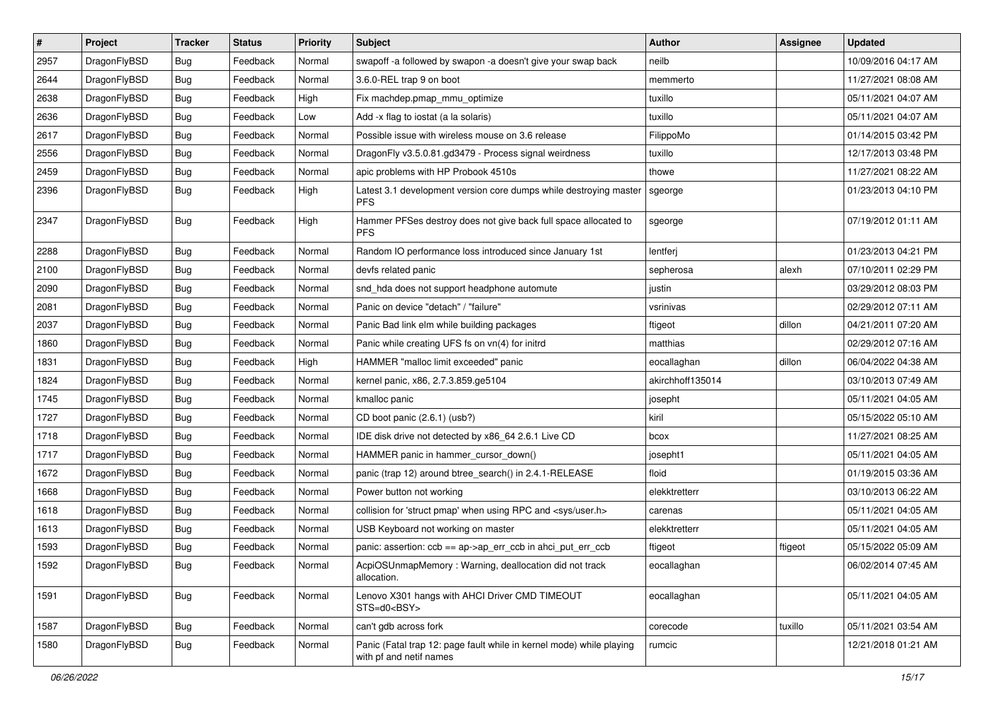| $\vert$ # | Project      | <b>Tracker</b> | <b>Status</b> | <b>Priority</b> | Subject                                                                                         | <b>Author</b>    | <b>Assignee</b> | <b>Updated</b>      |
|-----------|--------------|----------------|---------------|-----------------|-------------------------------------------------------------------------------------------------|------------------|-----------------|---------------------|
| 2957      | DragonFlyBSD | Bug            | Feedback      | Normal          | swapoff -a followed by swapon -a doesn't give your swap back                                    | neilb            |                 | 10/09/2016 04:17 AM |
| 2644      | DragonFlyBSD | Bug            | Feedback      | Normal          | 3.6.0-REL trap 9 on boot                                                                        | memmerto         |                 | 11/27/2021 08:08 AM |
| 2638      | DragonFlyBSD | <b>Bug</b>     | Feedback      | High            | Fix machdep.pmap_mmu_optimize                                                                   | tuxillo          |                 | 05/11/2021 04:07 AM |
| 2636      | DragonFlyBSD | <b>Bug</b>     | Feedback      | Low             | Add -x flag to iostat (a la solaris)                                                            | tuxillo          |                 | 05/11/2021 04:07 AM |
| 2617      | DragonFlyBSD | Bug            | Feedback      | Normal          | Possible issue with wireless mouse on 3.6 release                                               | FilippoMo        |                 | 01/14/2015 03:42 PM |
| 2556      | DragonFlyBSD | <b>Bug</b>     | Feedback      | Normal          | DragonFly v3.5.0.81.gd3479 - Process signal weirdness                                           | tuxillo          |                 | 12/17/2013 03:48 PM |
| 2459      | DragonFlyBSD | Bug            | Feedback      | Normal          | apic problems with HP Probook 4510s                                                             | thowe            |                 | 11/27/2021 08:22 AM |
| 2396      | DragonFlyBSD | <b>Bug</b>     | Feedback      | High            | Latest 3.1 development version core dumps while destroying master<br><b>PFS</b>                 | sgeorge          |                 | 01/23/2013 04:10 PM |
| 2347      | DragonFlyBSD | <b>Bug</b>     | Feedback      | High            | Hammer PFSes destroy does not give back full space allocated to<br><b>PFS</b>                   | sgeorge          |                 | 07/19/2012 01:11 AM |
| 2288      | DragonFlyBSD | <b>Bug</b>     | Feedback      | Normal          | Random IO performance loss introduced since January 1st                                         | lentferj         |                 | 01/23/2013 04:21 PM |
| 2100      | DragonFlyBSD | Bug            | Feedback      | Normal          | devfs related panic                                                                             | sepherosa        | alexh           | 07/10/2011 02:29 PM |
| 2090      | DragonFlyBSD | Bug            | Feedback      | Normal          | snd_hda does not support headphone automute                                                     | justin           |                 | 03/29/2012 08:03 PM |
| 2081      | DragonFlyBSD | Bug            | Feedback      | Normal          | Panic on device "detach" / "failure"                                                            | vsrinivas        |                 | 02/29/2012 07:11 AM |
| 2037      | DragonFlyBSD | Bug            | Feedback      | Normal          | Panic Bad link elm while building packages                                                      | ftigeot          | dillon          | 04/21/2011 07:20 AM |
| 1860      | DragonFlyBSD | <b>Bug</b>     | Feedback      | Normal          | Panic while creating UFS fs on vn(4) for initrd                                                 | matthias         |                 | 02/29/2012 07:16 AM |
| 1831      | DragonFlyBSD | Bug            | Feedback      | High            | HAMMER "malloc limit exceeded" panic                                                            | eocallaghan      | dillon          | 06/04/2022 04:38 AM |
| 1824      | DragonFlyBSD | Bug            | Feedback      | Normal          | kernel panic, x86, 2.7.3.859.ge5104                                                             | akirchhoff135014 |                 | 03/10/2013 07:49 AM |
| 1745      | DragonFlyBSD | Bug            | Feedback      | Normal          | kmalloc panic                                                                                   | josepht          |                 | 05/11/2021 04:05 AM |
| 1727      | DragonFlyBSD | <b>Bug</b>     | Feedback      | Normal          | CD boot panic (2.6.1) (usb?)                                                                    | kiril            |                 | 05/15/2022 05:10 AM |
| 1718      | DragonFlyBSD | <b>Bug</b>     | Feedback      | Normal          | IDE disk drive not detected by x86_64 2.6.1 Live CD                                             | bcox             |                 | 11/27/2021 08:25 AM |
| 1717      | DragonFlyBSD | Bug            | Feedback      | Normal          | HAMMER panic in hammer_cursor_down()                                                            | josepht1         |                 | 05/11/2021 04:05 AM |
| 1672      | DragonFlyBSD | Bug            | Feedback      | Normal          | panic (trap 12) around btree_search() in 2.4.1-RELEASE                                          | floid            |                 | 01/19/2015 03:36 AM |
| 1668      | DragonFlyBSD | Bug            | Feedback      | Normal          | Power button not working                                                                        | elekktretterr    |                 | 03/10/2013 06:22 AM |
| 1618      | DragonFlyBSD | Bug            | Feedback      | Normal          | collision for 'struct pmap' when using RPC and <sys user.h=""></sys>                            | carenas          |                 | 05/11/2021 04:05 AM |
| 1613      | DragonFlyBSD | Bug            | Feedback      | Normal          | USB Keyboard not working on master                                                              | elekktretterr    |                 | 05/11/2021 04:05 AM |
| 1593      | DragonFlyBSD | <b>Bug</b>     | Feedback      | Normal          | panic: assertion: ccb == ap->ap_err_ccb in ahci_put_err_ccb                                     | ftigeot          | ftigeot         | 05/15/2022 05:09 AM |
| 1592      | DragonFlyBSD | <b>Bug</b>     | Feedback      | Normal          | AcpiOSUnmapMemory: Warning, deallocation did not track<br>allocation.                           | eocallaghan      |                 | 06/02/2014 07:45 AM |
| 1591      | DragonFlyBSD | <b>Bug</b>     | Feedback      | Normal          | Lenovo X301 hangs with AHCI Driver CMD TIMEOUT<br>STS=d0 <bsy></bsy>                            | eocallaghan      |                 | 05/11/2021 04:05 AM |
| 1587      | DragonFlyBSD | <b>Bug</b>     | Feedback      | Normal          | can't gdb across fork                                                                           | corecode         | tuxillo         | 05/11/2021 03:54 AM |
| 1580      | DragonFlyBSD | <b>Bug</b>     | Feedback      | Normal          | Panic (Fatal trap 12: page fault while in kernel mode) while playing<br>with pf and netif names | rumcic           |                 | 12/21/2018 01:21 AM |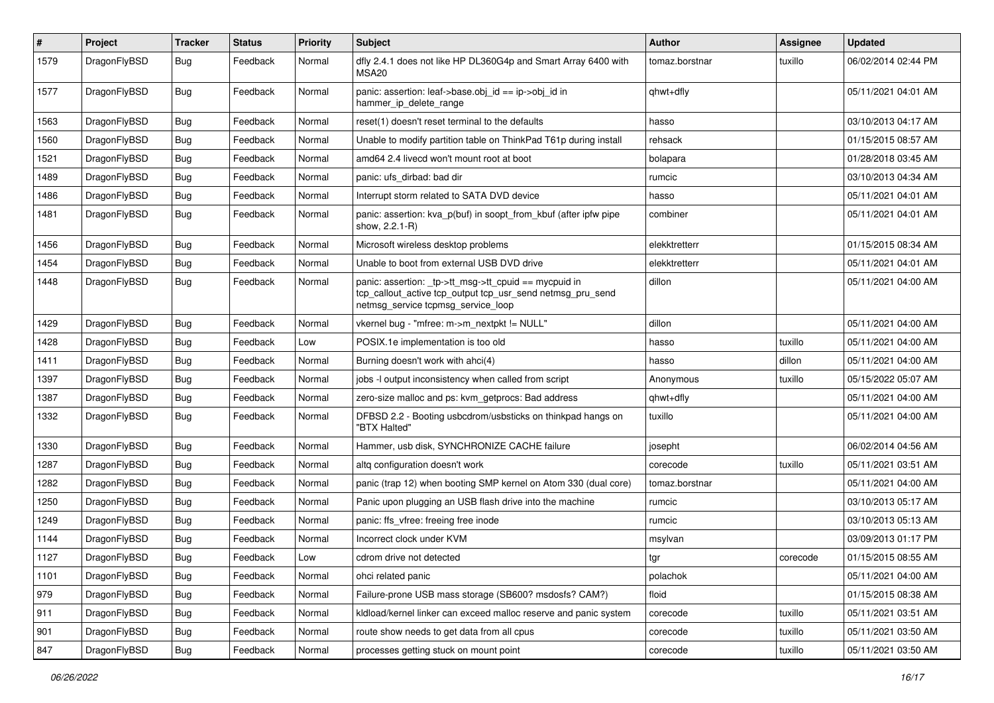| #    | Project      | <b>Tracker</b> | <b>Status</b> | <b>Priority</b> | Subject                                                                                                                                                   | <b>Author</b>  | Assignee | <b>Updated</b>      |
|------|--------------|----------------|---------------|-----------------|-----------------------------------------------------------------------------------------------------------------------------------------------------------|----------------|----------|---------------------|
| 1579 | DragonFlyBSD | Bug            | Feedback      | Normal          | dfly 2.4.1 does not like HP DL360G4p and Smart Array 6400 with<br>MSA <sub>20</sub>                                                                       | tomaz.borstnar | tuxillo  | 06/02/2014 02:44 PM |
| 1577 | DragonFlyBSD | Bug            | Feedback      | Normal          | panic: assertion: leaf->base.obj_id == ip->obj_id in<br>hammer_ip_delete_range                                                                            | qhwt+dfly      |          | 05/11/2021 04:01 AM |
| 1563 | DragonFlyBSD | Bug            | Feedback      | Normal          | reset(1) doesn't reset terminal to the defaults                                                                                                           | hasso          |          | 03/10/2013 04:17 AM |
| 1560 | DragonFlyBSD | <b>Bug</b>     | Feedback      | Normal          | Unable to modify partition table on ThinkPad T61p during install                                                                                          | rehsack        |          | 01/15/2015 08:57 AM |
| 1521 | DragonFlyBSD | Bug            | Feedback      | Normal          | amd64 2.4 livecd won't mount root at boot                                                                                                                 | bolapara       |          | 01/28/2018 03:45 AM |
| 1489 | DragonFlyBSD | <b>Bug</b>     | Feedback      | Normal          | panic: ufs dirbad: bad dir                                                                                                                                | rumcic         |          | 03/10/2013 04:34 AM |
| 1486 | DragonFlyBSD | <b>Bug</b>     | Feedback      | Normal          | Interrupt storm related to SATA DVD device                                                                                                                | hasso          |          | 05/11/2021 04:01 AM |
| 1481 | DragonFlyBSD | Bug            | Feedback      | Normal          | panic: assertion: kva_p(buf) in soopt_from_kbuf (after ipfw pipe<br>show, 2.2.1-R)                                                                        | combiner       |          | 05/11/2021 04:01 AM |
| 1456 | DragonFlyBSD | Bug            | Feedback      | Normal          | Microsoft wireless desktop problems                                                                                                                       | elekktretterr  |          | 01/15/2015 08:34 AM |
| 1454 | DragonFlyBSD | <b>Bug</b>     | Feedback      | Normal          | Unable to boot from external USB DVD drive                                                                                                                | elekktretterr  |          | 05/11/2021 04:01 AM |
| 1448 | DragonFlyBSD | Bug            | Feedback      | Normal          | panic: assertion: _tp->tt_msg->tt_cpuid == mycpuid in<br>tcp_callout_active tcp_output tcp_usr_send netmsg_pru_send<br>netmsg_service tcpmsg_service_loop | dillon         |          | 05/11/2021 04:00 AM |
| 1429 | DragonFlyBSD | <b>Bug</b>     | Feedback      | Normal          | vkernel bug - "mfree: m->m_nextpkt != NULL"                                                                                                               | dillon         |          | 05/11/2021 04:00 AM |
| 1428 | DragonFlyBSD | <b>Bug</b>     | Feedback      | Low             | POSIX.1e implementation is too old                                                                                                                        | hasso          | tuxillo  | 05/11/2021 04:00 AM |
| 1411 | DragonFlyBSD | <b>Bug</b>     | Feedback      | Normal          | Burning doesn't work with ahci(4)                                                                                                                         | hasso          | dillon   | 05/11/2021 04:00 AM |
| 1397 | DragonFlyBSD | Bug            | Feedback      | Normal          | jobs -I output inconsistency when called from script                                                                                                      | Anonymous      | tuxillo  | 05/15/2022 05:07 AM |
| 1387 | DragonFlyBSD | <b>Bug</b>     | Feedback      | Normal          | zero-size malloc and ps: kvm_getprocs: Bad address                                                                                                        | qhwt+dfly      |          | 05/11/2021 04:00 AM |
| 1332 | DragonFlyBSD | Bug            | Feedback      | Normal          | DFBSD 2.2 - Booting usbcdrom/usbsticks on thinkpad hangs on<br>"BTX Halted"                                                                               | tuxillo        |          | 05/11/2021 04:00 AM |
| 1330 | DragonFlyBSD | Bug            | Feedback      | Normal          | Hammer, usb disk, SYNCHRONIZE CACHE failure                                                                                                               | josepht        |          | 06/02/2014 04:56 AM |
| 1287 | DragonFlyBSD | Bug            | Feedback      | Normal          | altg configuration doesn't work                                                                                                                           | corecode       | tuxillo  | 05/11/2021 03:51 AM |
| 1282 | DragonFlyBSD | <b>Bug</b>     | Feedback      | Normal          | panic (trap 12) when booting SMP kernel on Atom 330 (dual core)                                                                                           | tomaz.borstnar |          | 05/11/2021 04:00 AM |
| 1250 | DragonFlyBSD | <b>Bug</b>     | Feedback      | Normal          | Panic upon plugging an USB flash drive into the machine                                                                                                   | rumcic         |          | 03/10/2013 05:17 AM |
| 1249 | DragonFlyBSD | Bug            | Feedback      | Normal          | panic: ffs_vfree: freeing free inode                                                                                                                      | rumcic         |          | 03/10/2013 05:13 AM |
| 1144 | DragonFlyBSD | <b>Bug</b>     | Feedback      | Normal          | Incorrect clock under KVM                                                                                                                                 | msylvan        |          | 03/09/2013 01:17 PM |
| 1127 | DragonFlyBSD | <b>Bug</b>     | Feedback      | Low             | cdrom drive not detected                                                                                                                                  | tgr            | corecode | 01/15/2015 08:55 AM |
| 1101 | DragonFlyBSD | Bug            | Feedback      | Normal          | ohci related panic                                                                                                                                        | polachok       |          | 05/11/2021 04:00 AM |
| 979  | DragonFlyBSD | Bug            | Feedback      | Normal          | Failure-prone USB mass storage (SB600? msdosfs? CAM?)                                                                                                     | floid          |          | 01/15/2015 08:38 AM |
| 911  | DragonFlyBSD | <b>Bug</b>     | Feedback      | Normal          | kldload/kernel linker can exceed malloc reserve and panic system                                                                                          | corecode       | tuxillo  | 05/11/2021 03:51 AM |
| 901  | DragonFlyBSD | <b>Bug</b>     | Feedback      | Normal          | route show needs to get data from all cpus                                                                                                                | corecode       | tuxillo  | 05/11/2021 03:50 AM |
| 847  | DragonFlyBSD | Bug            | Feedback      | Normal          | processes getting stuck on mount point                                                                                                                    | corecode       | tuxillo  | 05/11/2021 03:50 AM |